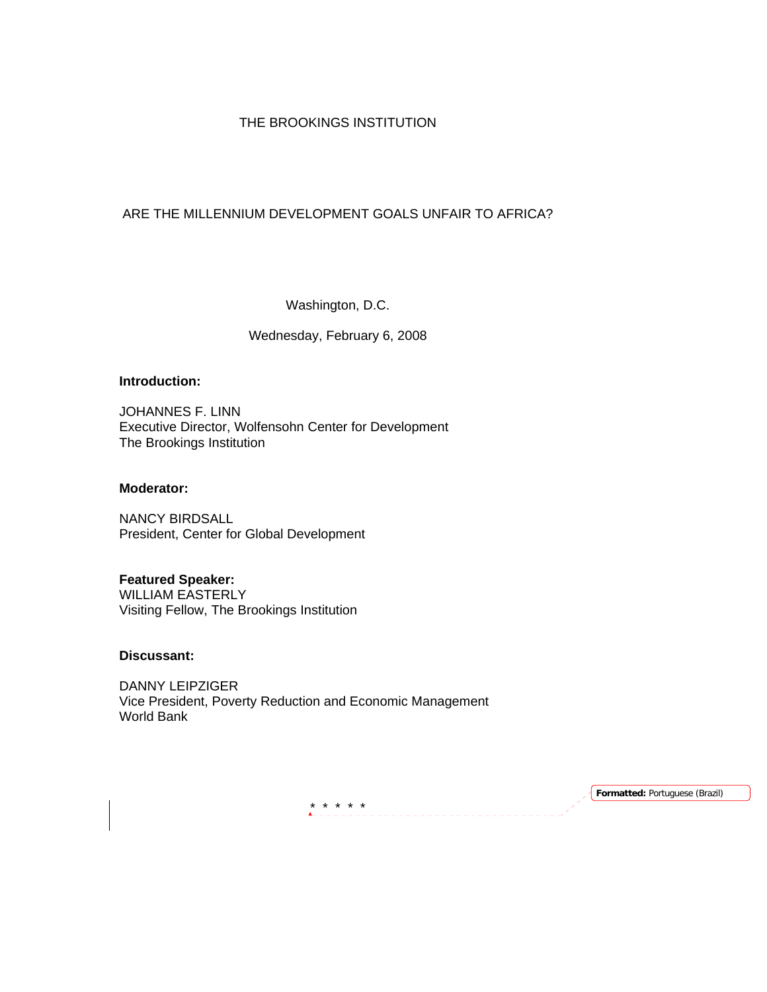### THE BROOKINGS INSTITUTION

# ARE THE MILLENNIUM DEVELOPMENT GOALS UNFAIR TO AFRICA?

Washington, D.C.

### Wednesday, February 6, 2008

## **Introduction:**

JOHANNES F. LINN Executive Director, Wolfensohn Center for Development The Brookings Institution

#### **Moderator:**

NANCY BIRDSALL President, Center for Global Development

#### **Featured Speaker:**

WILLIAM EASTERLY Visiting Fellow, The Brookings Institution

#### **Discussant:**

DANNY LEIPZIGER Vice President, Poverty Reduction and Economic Management World Bank

\* \* \* \* \*<br><u>Alecteración</u>

**Formatted:** Portuguese (Brazil)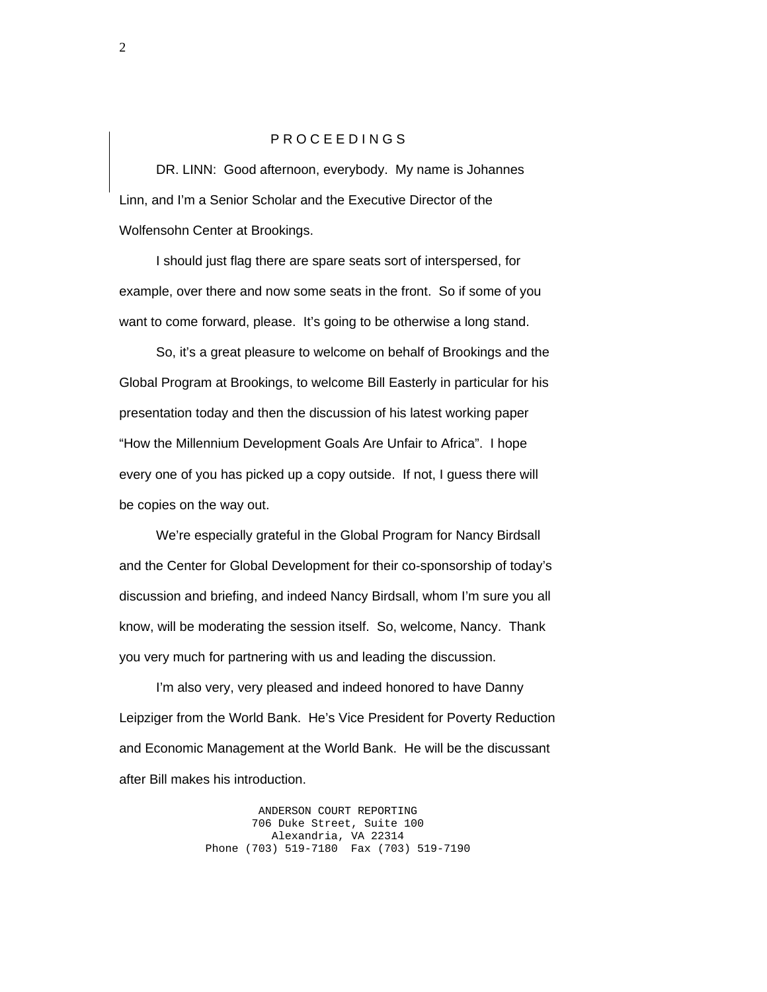### P R O C E E D I N G S

 DR. LINN: Good afternoon, everybody. My name is Johannes Linn, and I'm a Senior Scholar and the Executive Director of the Wolfensohn Center at Brookings.

 I should just flag there are spare seats sort of interspersed, for example, over there and now some seats in the front. So if some of you want to come forward, please. It's going to be otherwise a long stand.

 So, it's a great pleasure to welcome on behalf of Brookings and the Global Program at Brookings, to welcome Bill Easterly in particular for his presentation today and then the discussion of his latest working paper "How the Millennium Development Goals Are Unfair to Africa". I hope every one of you has picked up a copy outside. If not, I guess there will be copies on the way out.

 We're especially grateful in the Global Program for Nancy Birdsall and the Center for Global Development for their co-sponsorship of today's discussion and briefing, and indeed Nancy Birdsall, whom I'm sure you all know, will be moderating the session itself. So, welcome, Nancy. Thank you very much for partnering with us and leading the discussion.

 I'm also very, very pleased and indeed honored to have Danny Leipziger from the World Bank. He's Vice President for Poverty Reduction and Economic Management at the World Bank. He will be the discussant after Bill makes his introduction.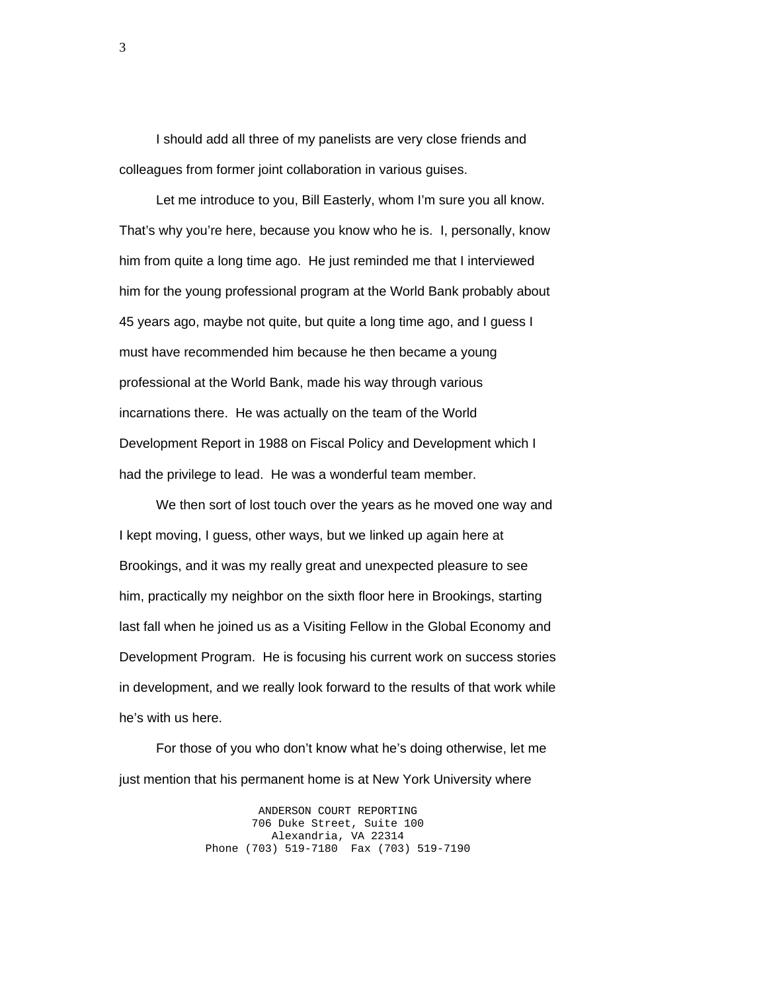I should add all three of my panelists are very close friends and colleagues from former joint collaboration in various guises.

 Let me introduce to you, Bill Easterly, whom I'm sure you all know. That's why you're here, because you know who he is. I, personally, know him from quite a long time ago. He just reminded me that I interviewed him for the young professional program at the World Bank probably about 45 years ago, maybe not quite, but quite a long time ago, and I guess I must have recommended him because he then became a young professional at the World Bank, made his way through various incarnations there. He was actually on the team of the World Development Report in 1988 on Fiscal Policy and Development which I had the privilege to lead. He was a wonderful team member.

 We then sort of lost touch over the years as he moved one way and I kept moving, I guess, other ways, but we linked up again here at Brookings, and it was my really great and unexpected pleasure to see him, practically my neighbor on the sixth floor here in Brookings, starting last fall when he joined us as a Visiting Fellow in the Global Economy and Development Program. He is focusing his current work on success stories in development, and we really look forward to the results of that work while he's with us here.

 For those of you who don't know what he's doing otherwise, let me just mention that his permanent home is at New York University where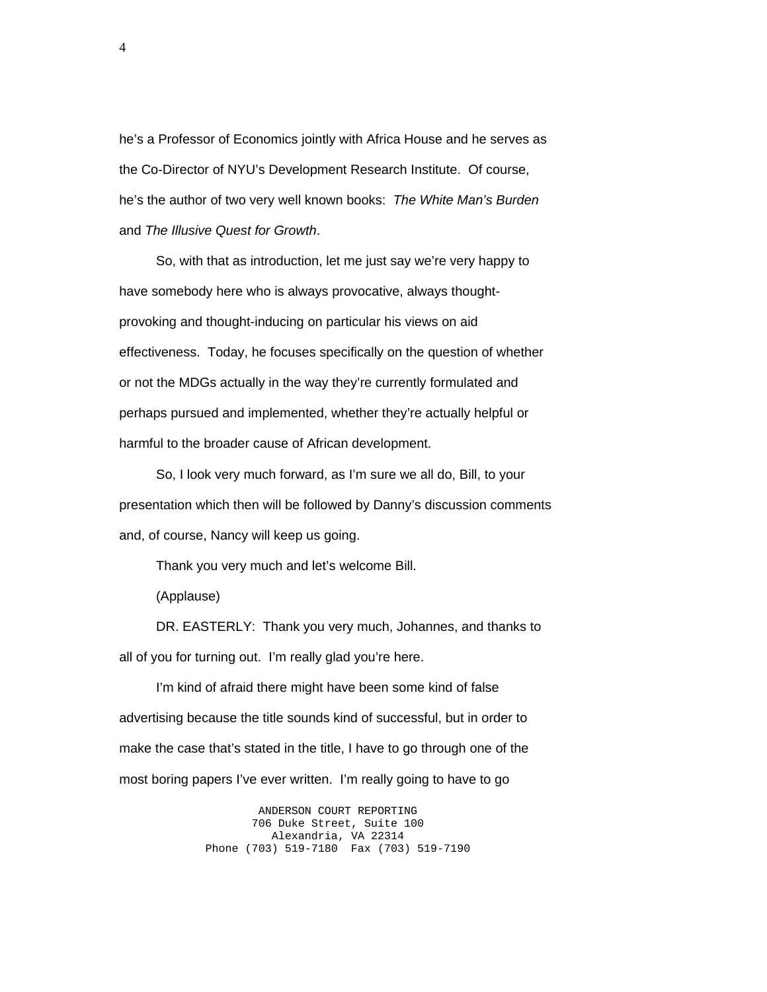he's a Professor of Economics jointly with Africa House and he serves as the Co-Director of NYU's Development Research Institute. Of course, he's the author of two very well known books: *The White Man's Burden*  and *The Illusive Quest for Growth*.

 So, with that as introduction, let me just say we're very happy to have somebody here who is always provocative, always thoughtprovoking and thought-inducing on particular his views on aid effectiveness. Today, he focuses specifically on the question of whether or not the MDGs actually in the way they're currently formulated and perhaps pursued and implemented, whether they're actually helpful or harmful to the broader cause of African development.

 So, I look very much forward, as I'm sure we all do, Bill, to your presentation which then will be followed by Danny's discussion comments and, of course, Nancy will keep us going.

Thank you very much and let's welcome Bill.

(Applause)

 DR. EASTERLY: Thank you very much, Johannes, and thanks to all of you for turning out. I'm really glad you're here.

 I'm kind of afraid there might have been some kind of false advertising because the title sounds kind of successful, but in order to make the case that's stated in the title, I have to go through one of the most boring papers I've ever written. I'm really going to have to go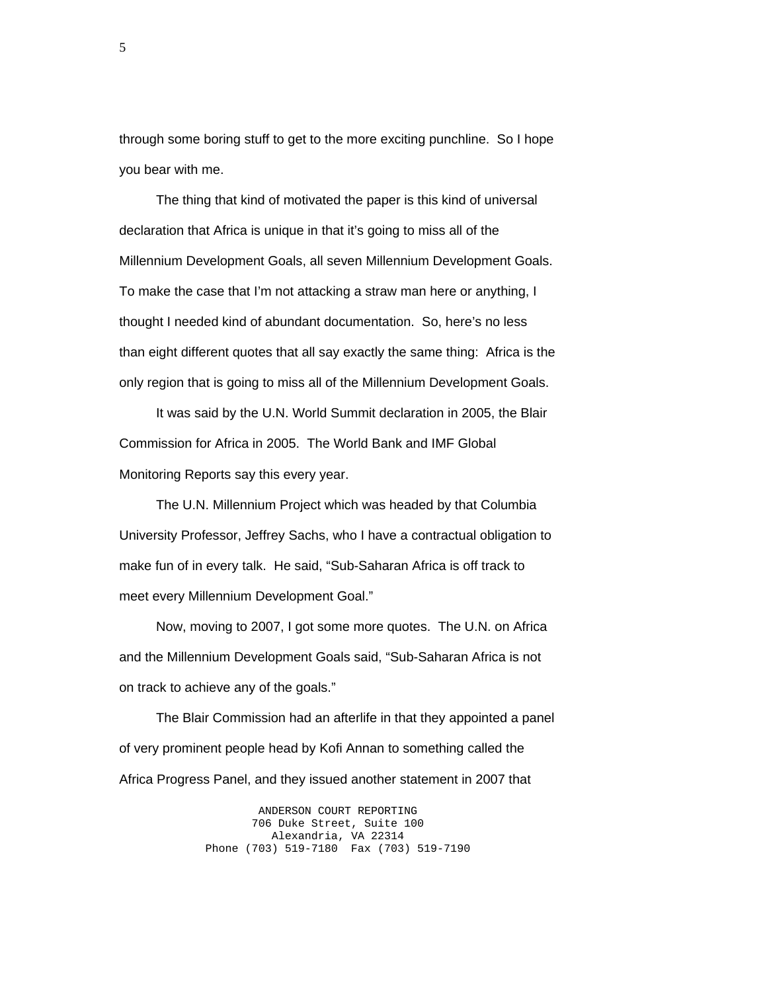through some boring stuff to get to the more exciting punchline. So I hope you bear with me.

 The thing that kind of motivated the paper is this kind of universal declaration that Africa is unique in that it's going to miss all of the Millennium Development Goals, all seven Millennium Development Goals. To make the case that I'm not attacking a straw man here or anything, I thought I needed kind of abundant documentation. So, here's no less than eight different quotes that all say exactly the same thing: Africa is the only region that is going to miss all of the Millennium Development Goals.

 It was said by the U.N. World Summit declaration in 2005, the Blair Commission for Africa in 2005. The World Bank and IMF Global Monitoring Reports say this every year.

 The U.N. Millennium Project which was headed by that Columbia University Professor, Jeffrey Sachs, who I have a contractual obligation to make fun of in every talk. He said, "Sub-Saharan Africa is off track to meet every Millennium Development Goal."

 Now, moving to 2007, I got some more quotes. The U.N. on Africa and the Millennium Development Goals said, "Sub-Saharan Africa is not on track to achieve any of the goals."

 The Blair Commission had an afterlife in that they appointed a panel of very prominent people head by Kofi Annan to something called the Africa Progress Panel, and they issued another statement in 2007 that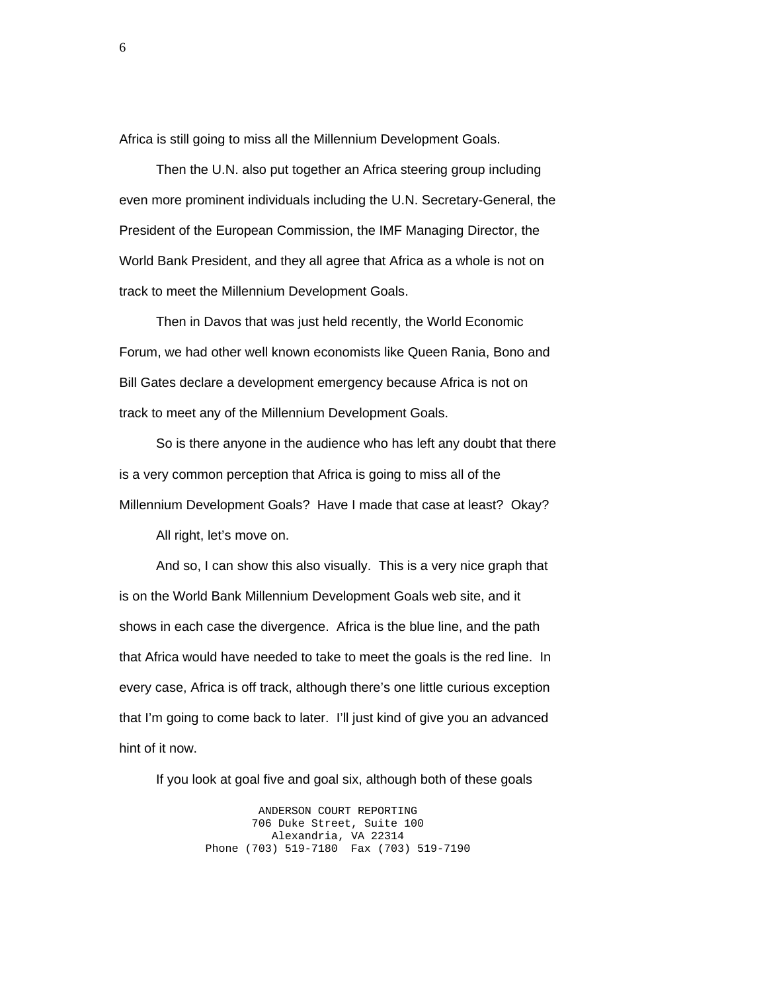Africa is still going to miss all the Millennium Development Goals.

 Then the U.N. also put together an Africa steering group including even more prominent individuals including the U.N. Secretary-General, the President of the European Commission, the IMF Managing Director, the World Bank President, and they all agree that Africa as a whole is not on track to meet the Millennium Development Goals.

 Then in Davos that was just held recently, the World Economic Forum, we had other well known economists like Queen Rania, Bono and Bill Gates declare a development emergency because Africa is not on track to meet any of the Millennium Development Goals.

 So is there anyone in the audience who has left any doubt that there is a very common perception that Africa is going to miss all of the Millennium Development Goals? Have I made that case at least? Okay?

All right, let's move on.

 And so, I can show this also visually. This is a very nice graph that is on the World Bank Millennium Development Goals web site, and it shows in each case the divergence. Africa is the blue line, and the path that Africa would have needed to take to meet the goals is the red line. In every case, Africa is off track, although there's one little curious exception that I'm going to come back to later. I'll just kind of give you an advanced hint of it now.

If you look at goal five and goal six, although both of these goals

ANDERSON COURT REPORTING 706 Duke Street, Suite 100 Alexandria, VA 22314 Phone (703) 519-7180 Fax (703) 519-7190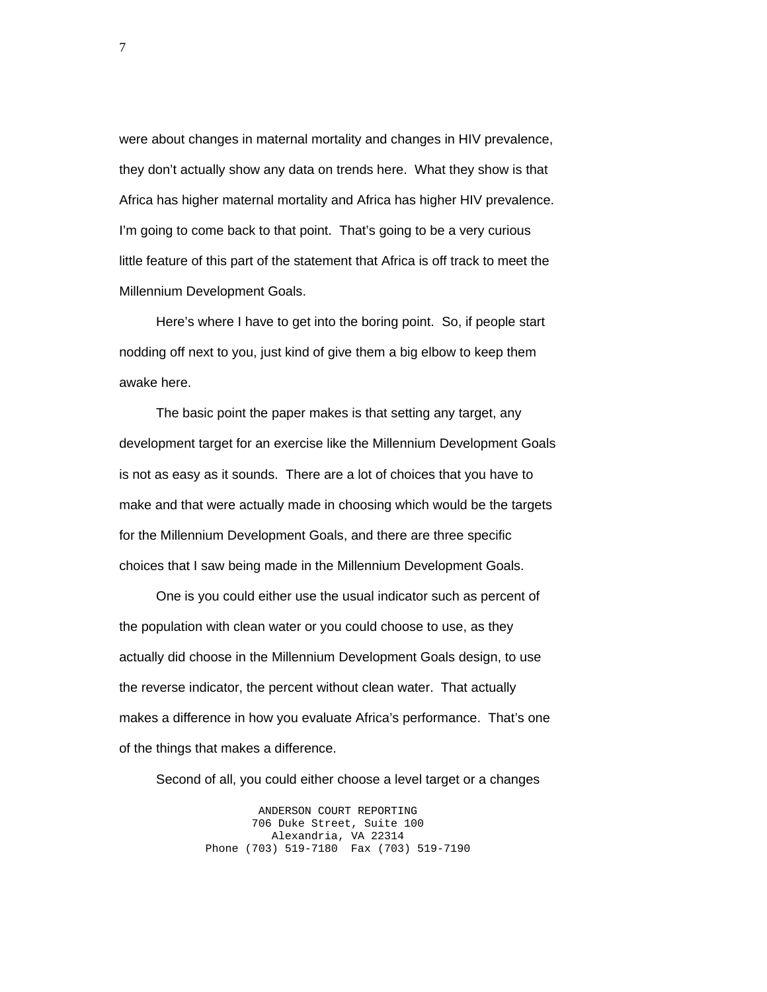were about changes in maternal mortality and changes in HIV prevalence, they don't actually show any data on trends here. What they show is that Africa has higher maternal mortality and Africa has higher HIV prevalence. I'm going to come back to that point. That's going to be a very curious little feature of this part of the statement that Africa is off track to meet the Millennium Development Goals.

 Here's where I have to get into the boring point. So, if people start nodding off next to you, just kind of give them a big elbow to keep them awake here.

 The basic point the paper makes is that setting any target, any development target for an exercise like the Millennium Development Goals is not as easy as it sounds. There are a lot of choices that you have to make and that were actually made in choosing which would be the targets for the Millennium Development Goals, and there are three specific choices that I saw being made in the Millennium Development Goals.

 One is you could either use the usual indicator such as percent of the population with clean water or you could choose to use, as they actually did choose in the Millennium Development Goals design, to use the reverse indicator, the percent without clean water. That actually makes a difference in how you evaluate Africa's performance. That's one of the things that makes a difference.

Second of all, you could either choose a level target or a changes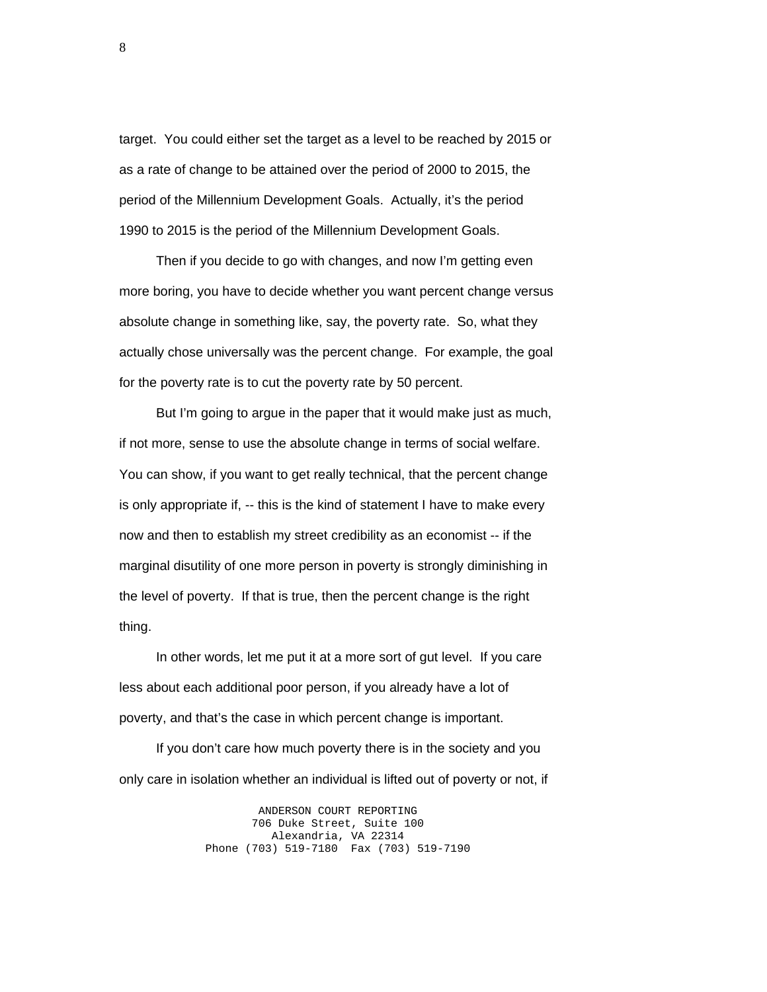target. You could either set the target as a level to be reached by 2015 or as a rate of change to be attained over the period of 2000 to 2015, the period of the Millennium Development Goals. Actually, it's the period 1990 to 2015 is the period of the Millennium Development Goals.

 Then if you decide to go with changes, and now I'm getting even more boring, you have to decide whether you want percent change versus absolute change in something like, say, the poverty rate. So, what they actually chose universally was the percent change. For example, the goal for the poverty rate is to cut the poverty rate by 50 percent.

 But I'm going to argue in the paper that it would make just as much, if not more, sense to use the absolute change in terms of social welfare. You can show, if you want to get really technical, that the percent change is only appropriate if, -- this is the kind of statement I have to make every now and then to establish my street credibility as an economist -- if the marginal disutility of one more person in poverty is strongly diminishing in the level of poverty. If that is true, then the percent change is the right thing.

 In other words, let me put it at a more sort of gut level. If you care less about each additional poor person, if you already have a lot of poverty, and that's the case in which percent change is important.

 If you don't care how much poverty there is in the society and you only care in isolation whether an individual is lifted out of poverty or not, if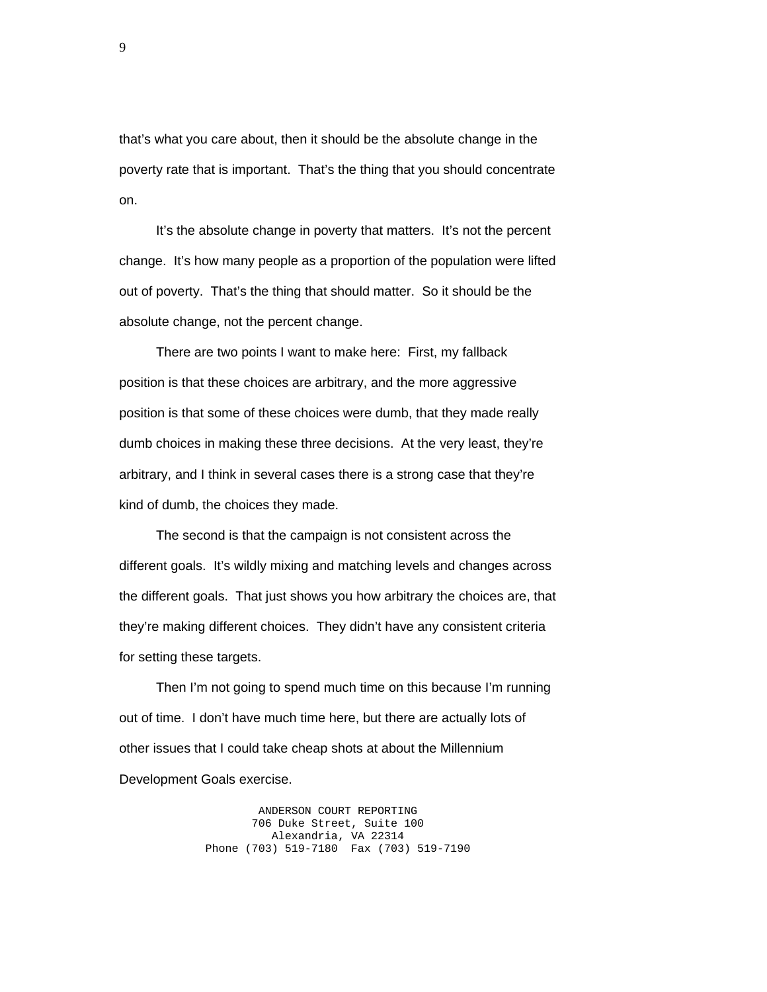that's what you care about, then it should be the absolute change in the poverty rate that is important. That's the thing that you should concentrate on.

 It's the absolute change in poverty that matters. It's not the percent change. It's how many people as a proportion of the population were lifted out of poverty. That's the thing that should matter. So it should be the absolute change, not the percent change.

 There are two points I want to make here: First, my fallback position is that these choices are arbitrary, and the more aggressive position is that some of these choices were dumb, that they made really dumb choices in making these three decisions. At the very least, they're arbitrary, and I think in several cases there is a strong case that they're kind of dumb, the choices they made.

 The second is that the campaign is not consistent across the different goals. It's wildly mixing and matching levels and changes across the different goals. That just shows you how arbitrary the choices are, that they're making different choices. They didn't have any consistent criteria for setting these targets.

 Then I'm not going to spend much time on this because I'm running out of time. I don't have much time here, but there are actually lots of other issues that I could take cheap shots at about the Millennium Development Goals exercise.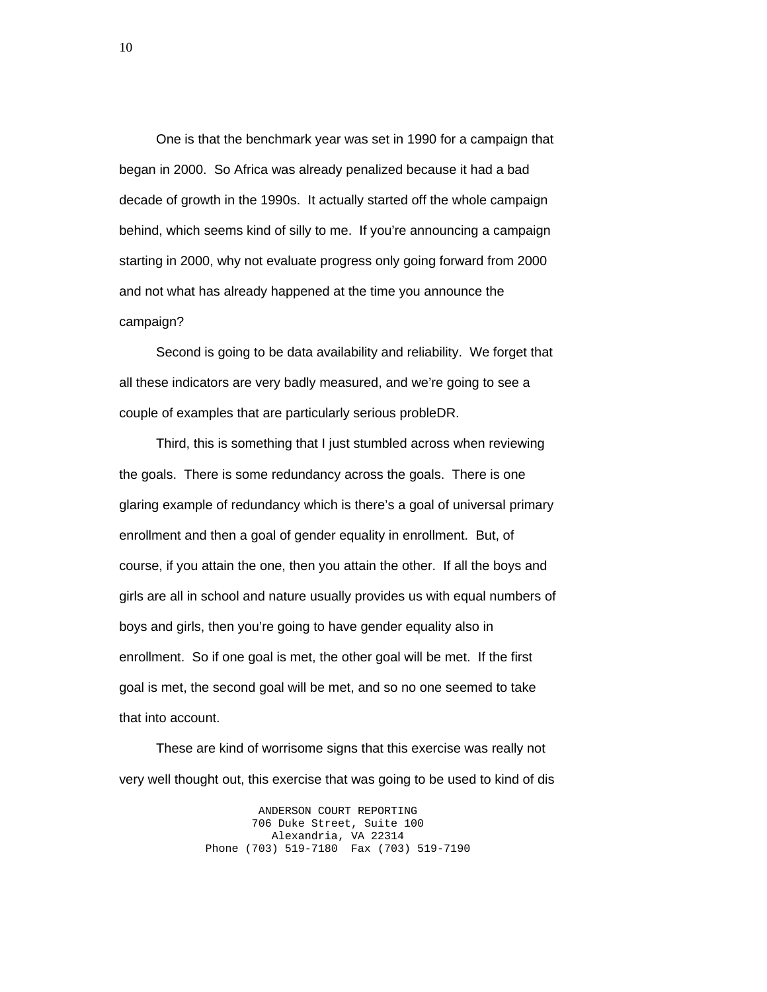One is that the benchmark year was set in 1990 for a campaign that began in 2000. So Africa was already penalized because it had a bad decade of growth in the 1990s. It actually started off the whole campaign behind, which seems kind of silly to me. If you're announcing a campaign starting in 2000, why not evaluate progress only going forward from 2000 and not what has already happened at the time you announce the campaign?

 Second is going to be data availability and reliability. We forget that all these indicators are very badly measured, and we're going to see a couple of examples that are particularly serious probleDR.

 Third, this is something that I just stumbled across when reviewing the goals. There is some redundancy across the goals. There is one glaring example of redundancy which is there's a goal of universal primary enrollment and then a goal of gender equality in enrollment. But, of course, if you attain the one, then you attain the other. If all the boys and girls are all in school and nature usually provides us with equal numbers of boys and girls, then you're going to have gender equality also in enrollment. So if one goal is met, the other goal will be met. If the first goal is met, the second goal will be met, and so no one seemed to take that into account.

 These are kind of worrisome signs that this exercise was really not very well thought out, this exercise that was going to be used to kind of dis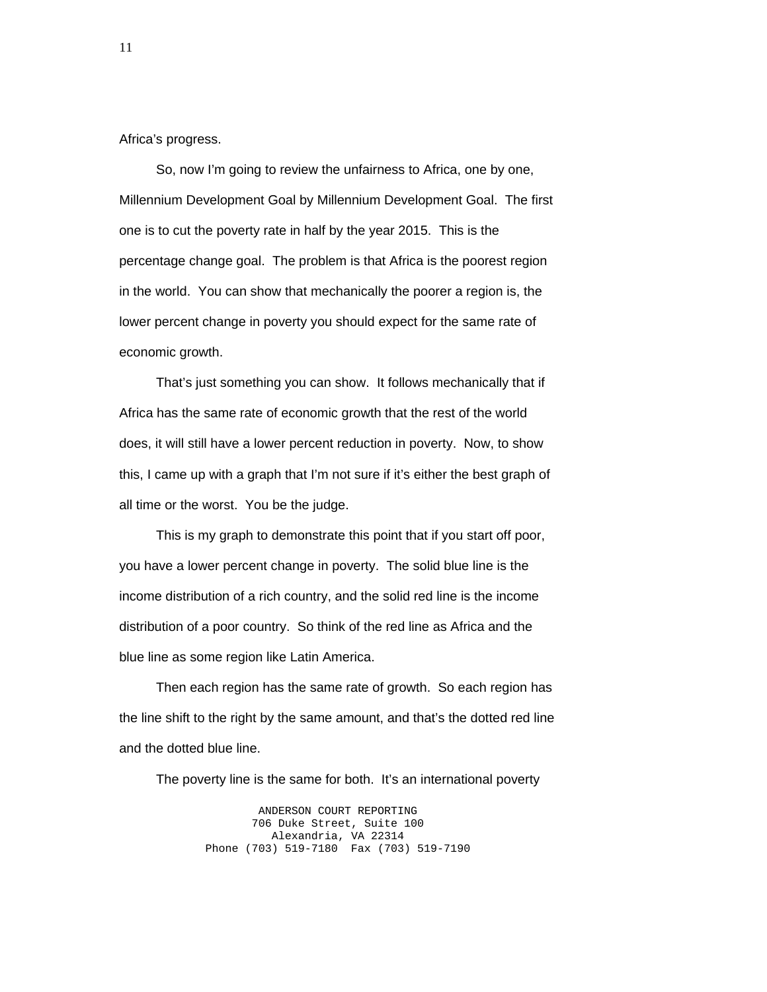Africa's progress.

 So, now I'm going to review the unfairness to Africa, one by one, Millennium Development Goal by Millennium Development Goal. The first one is to cut the poverty rate in half by the year 2015. This is the percentage change goal. The problem is that Africa is the poorest region in the world. You can show that mechanically the poorer a region is, the lower percent change in poverty you should expect for the same rate of economic growth.

 That's just something you can show. It follows mechanically that if Africa has the same rate of economic growth that the rest of the world does, it will still have a lower percent reduction in poverty. Now, to show this, I came up with a graph that I'm not sure if it's either the best graph of all time or the worst. You be the judge.

 This is my graph to demonstrate this point that if you start off poor, you have a lower percent change in poverty. The solid blue line is the income distribution of a rich country, and the solid red line is the income distribution of a poor country. So think of the red line as Africa and the blue line as some region like Latin America.

 Then each region has the same rate of growth. So each region has the line shift to the right by the same amount, and that's the dotted red line and the dotted blue line.

The poverty line is the same for both. It's an international poverty

ANDERSON COURT REPORTING 706 Duke Street, Suite 100 Alexandria, VA 22314 Phone (703) 519-7180 Fax (703) 519-7190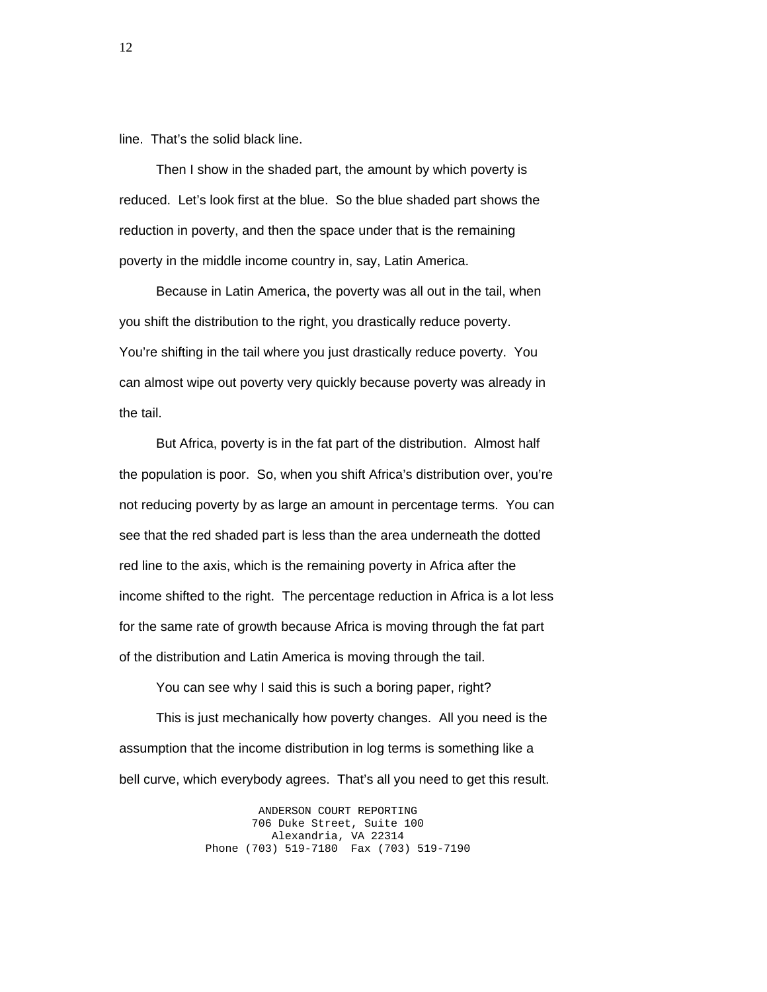line. That's the solid black line.

 Then I show in the shaded part, the amount by which poverty is reduced. Let's look first at the blue. So the blue shaded part shows the reduction in poverty, and then the space under that is the remaining poverty in the middle income country in, say, Latin America.

 Because in Latin America, the poverty was all out in the tail, when you shift the distribution to the right, you drastically reduce poverty. You're shifting in the tail where you just drastically reduce poverty. You can almost wipe out poverty very quickly because poverty was already in the tail.

 But Africa, poverty is in the fat part of the distribution. Almost half the population is poor. So, when you shift Africa's distribution over, you're not reducing poverty by as large an amount in percentage terms. You can see that the red shaded part is less than the area underneath the dotted red line to the axis, which is the remaining poverty in Africa after the income shifted to the right. The percentage reduction in Africa is a lot less for the same rate of growth because Africa is moving through the fat part of the distribution and Latin America is moving through the tail.

 You can see why I said this is such a boring paper, right? This is just mechanically how poverty changes. All you need is the assumption that the income distribution in log terms is something like a bell curve, which everybody agrees. That's all you need to get this result.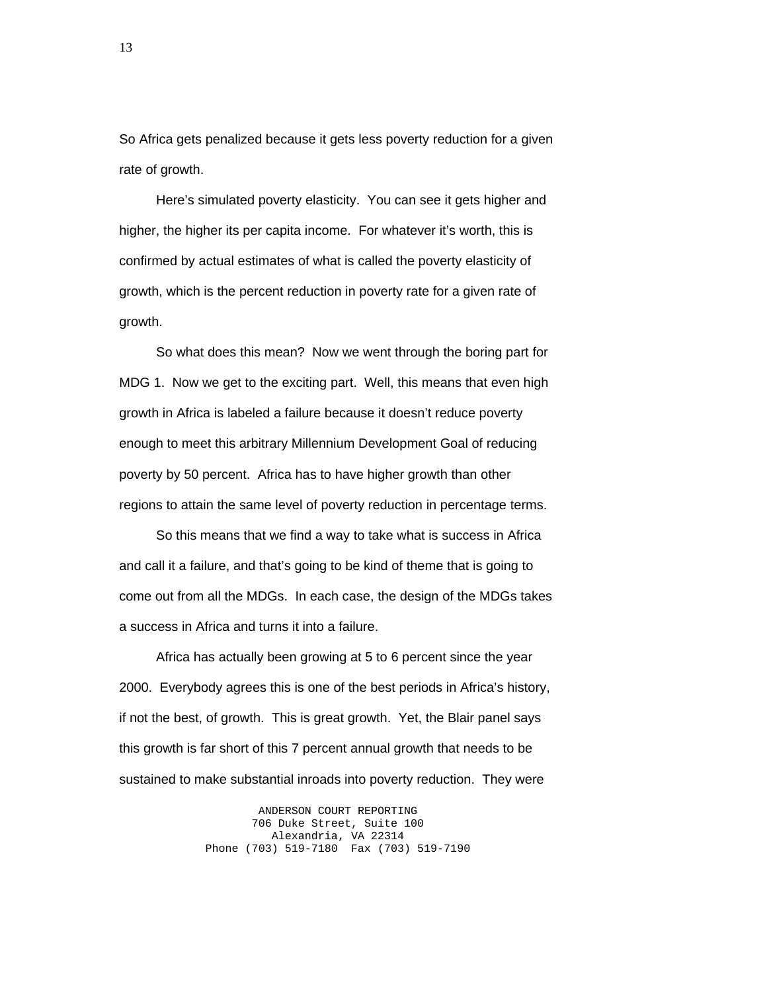So Africa gets penalized because it gets less poverty reduction for a given rate of growth.

 Here's simulated poverty elasticity. You can see it gets higher and higher, the higher its per capita income. For whatever it's worth, this is confirmed by actual estimates of what is called the poverty elasticity of growth, which is the percent reduction in poverty rate for a given rate of growth.

 So what does this mean? Now we went through the boring part for MDG 1. Now we get to the exciting part. Well, this means that even high growth in Africa is labeled a failure because it doesn't reduce poverty enough to meet this arbitrary Millennium Development Goal of reducing poverty by 50 percent. Africa has to have higher growth than other regions to attain the same level of poverty reduction in percentage terms.

 So this means that we find a way to take what is success in Africa and call it a failure, and that's going to be kind of theme that is going to come out from all the MDGs. In each case, the design of the MDGs takes a success in Africa and turns it into a failure.

 Africa has actually been growing at 5 to 6 percent since the year 2000. Everybody agrees this is one of the best periods in Africa's history, if not the best, of growth. This is great growth. Yet, the Blair panel says this growth is far short of this 7 percent annual growth that needs to be sustained to make substantial inroads into poverty reduction. They were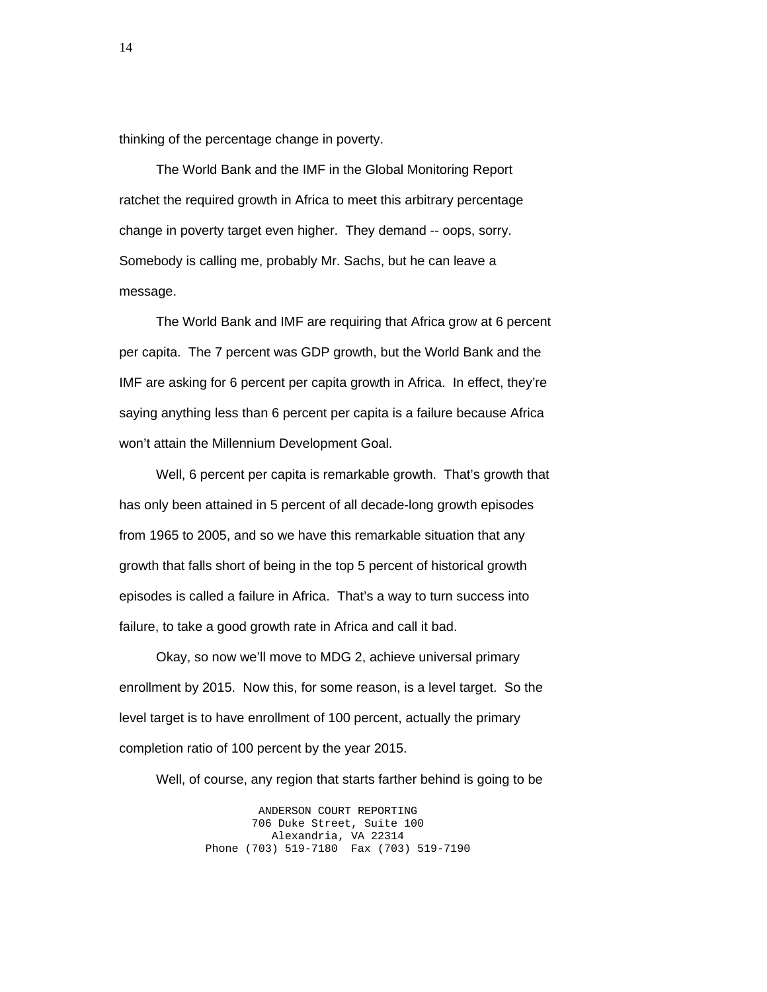thinking of the percentage change in poverty.

 The World Bank and the IMF in the Global Monitoring Report ratchet the required growth in Africa to meet this arbitrary percentage change in poverty target even higher. They demand -- oops, sorry. Somebody is calling me, probably Mr. Sachs, but he can leave a message.

 The World Bank and IMF are requiring that Africa grow at 6 percent per capita. The 7 percent was GDP growth, but the World Bank and the IMF are asking for 6 percent per capita growth in Africa. In effect, they're saying anything less than 6 percent per capita is a failure because Africa won't attain the Millennium Development Goal.

 Well, 6 percent per capita is remarkable growth. That's growth that has only been attained in 5 percent of all decade-long growth episodes from 1965 to 2005, and so we have this remarkable situation that any growth that falls short of being in the top 5 percent of historical growth episodes is called a failure in Africa. That's a way to turn success into failure, to take a good growth rate in Africa and call it bad.

 Okay, so now we'll move to MDG 2, achieve universal primary enrollment by 2015. Now this, for some reason, is a level target. So the level target is to have enrollment of 100 percent, actually the primary completion ratio of 100 percent by the year 2015.

Well, of course, any region that starts farther behind is going to be

ANDERSON COURT REPORTING 706 Duke Street, Suite 100 Alexandria, VA 22314 Phone (703) 519-7180 Fax (703) 519-7190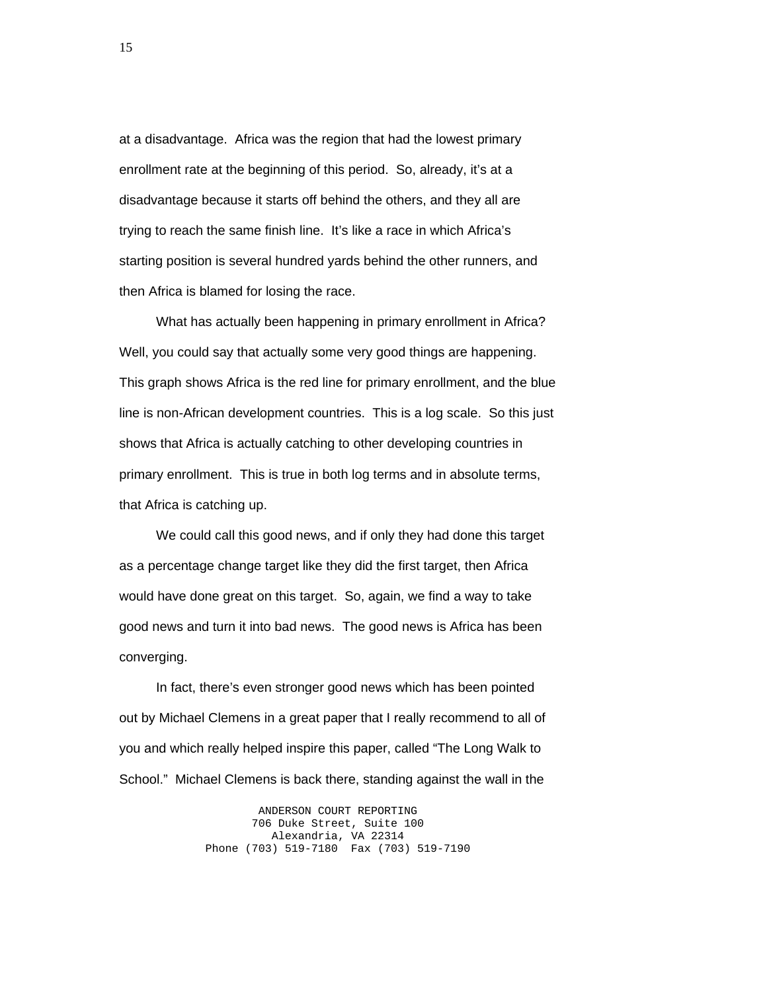at a disadvantage. Africa was the region that had the lowest primary enrollment rate at the beginning of this period. So, already, it's at a disadvantage because it starts off behind the others, and they all are trying to reach the same finish line. It's like a race in which Africa's starting position is several hundred yards behind the other runners, and then Africa is blamed for losing the race.

 What has actually been happening in primary enrollment in Africa? Well, you could say that actually some very good things are happening. This graph shows Africa is the red line for primary enrollment, and the blue line is non-African development countries. This is a log scale. So this just shows that Africa is actually catching to other developing countries in primary enrollment. This is true in both log terms and in absolute terms, that Africa is catching up.

 We could call this good news, and if only they had done this target as a percentage change target like they did the first target, then Africa would have done great on this target. So, again, we find a way to take good news and turn it into bad news. The good news is Africa has been converging.

 In fact, there's even stronger good news which has been pointed out by Michael Clemens in a great paper that I really recommend to all of you and which really helped inspire this paper, called "The Long Walk to School." Michael Clemens is back there, standing against the wall in the

> ANDERSON COURT REPORTING 706 Duke Street, Suite 100 Alexandria, VA 22314 Phone (703) 519-7180 Fax (703) 519-7190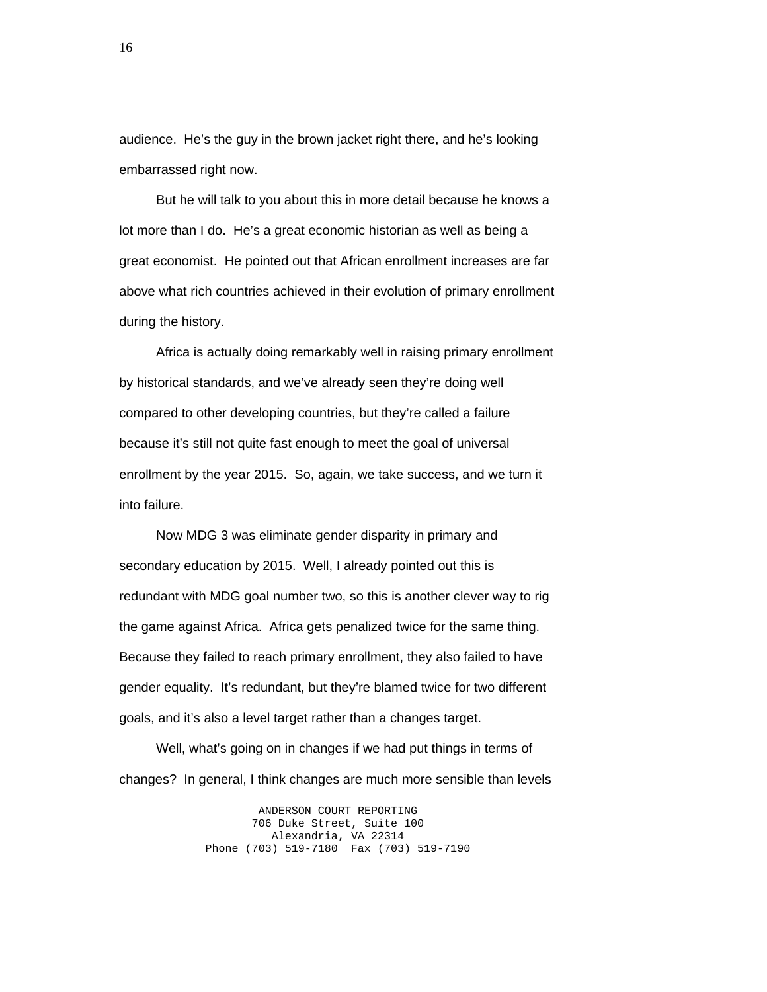audience. He's the guy in the brown jacket right there, and he's looking embarrassed right now.

 But he will talk to you about this in more detail because he knows a lot more than I do. He's a great economic historian as well as being a great economist. He pointed out that African enrollment increases are far above what rich countries achieved in their evolution of primary enrollment during the history.

 Africa is actually doing remarkably well in raising primary enrollment by historical standards, and we've already seen they're doing well compared to other developing countries, but they're called a failure because it's still not quite fast enough to meet the goal of universal enrollment by the year 2015. So, again, we take success, and we turn it into failure.

 Now MDG 3 was eliminate gender disparity in primary and secondary education by 2015. Well, I already pointed out this is redundant with MDG goal number two, so this is another clever way to rig the game against Africa. Africa gets penalized twice for the same thing. Because they failed to reach primary enrollment, they also failed to have gender equality. It's redundant, but they're blamed twice for two different goals, and it's also a level target rather than a changes target.

 Well, what's going on in changes if we had put things in terms of changes? In general, I think changes are much more sensible than levels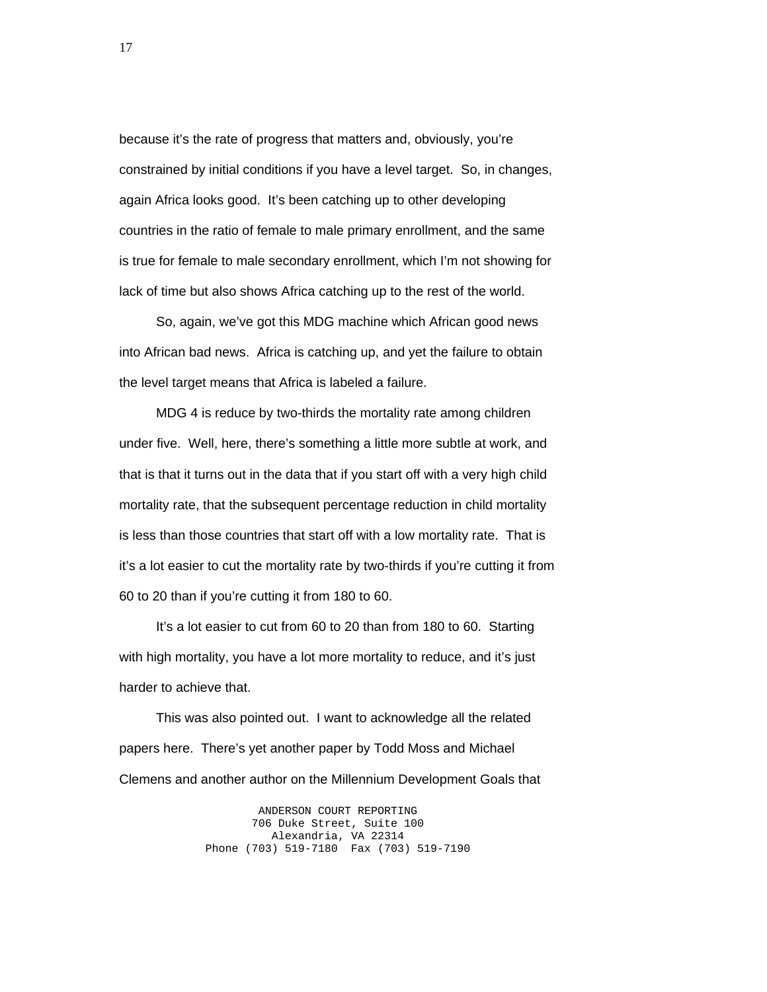because it's the rate of progress that matters and, obviously, you're constrained by initial conditions if you have a level target. So, in changes, again Africa looks good. It's been catching up to other developing countries in the ratio of female to male primary enrollment, and the same is true for female to male secondary enrollment, which I'm not showing for lack of time but also shows Africa catching up to the rest of the world.

 So, again, we've got this MDG machine which African good news into African bad news. Africa is catching up, and yet the failure to obtain the level target means that Africa is labeled a failure.

 MDG 4 is reduce by two-thirds the mortality rate among children under five. Well, here, there's something a little more subtle at work, and that is that it turns out in the data that if you start off with a very high child mortality rate, that the subsequent percentage reduction in child mortality is less than those countries that start off with a low mortality rate. That is it's a lot easier to cut the mortality rate by two-thirds if you're cutting it from 60 to 20 than if you're cutting it from 180 to 60.

 It's a lot easier to cut from 60 to 20 than from 180 to 60. Starting with high mortality, you have a lot more mortality to reduce, and it's just harder to achieve that.

 This was also pointed out. I want to acknowledge all the related papers here. There's yet another paper by Todd Moss and Michael Clemens and another author on the Millennium Development Goals that

> ANDERSON COURT REPORTING 706 Duke Street, Suite 100 Alexandria, VA 22314 Phone (703) 519-7180 Fax (703) 519-7190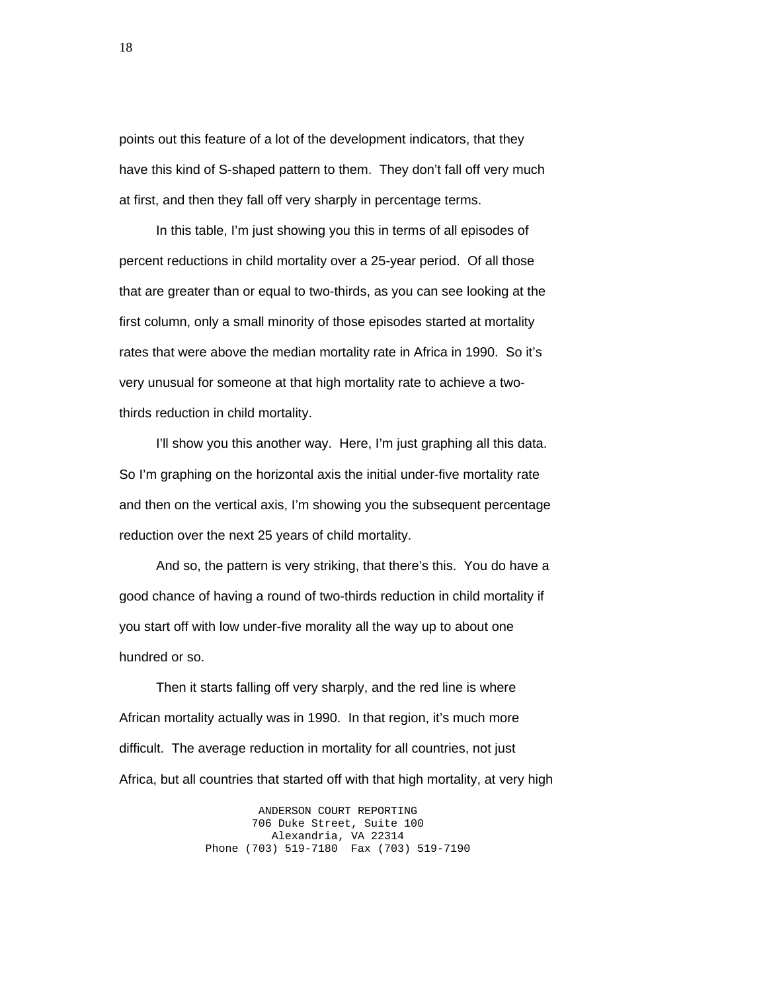points out this feature of a lot of the development indicators, that they have this kind of S-shaped pattern to them. They don't fall off very much at first, and then they fall off very sharply in percentage terms.

 In this table, I'm just showing you this in terms of all episodes of percent reductions in child mortality over a 25-year period. Of all those that are greater than or equal to two-thirds, as you can see looking at the first column, only a small minority of those episodes started at mortality rates that were above the median mortality rate in Africa in 1990. So it's very unusual for someone at that high mortality rate to achieve a twothirds reduction in child mortality.

I'll show you this another way. Here, I'm just graphing all this data. So I'm graphing on the horizontal axis the initial under-five mortality rate and then on the vertical axis, I'm showing you the subsequent percentage reduction over the next 25 years of child mortality.

 And so, the pattern is very striking, that there's this. You do have a good chance of having a round of two-thirds reduction in child mortality if you start off with low under-five morality all the way up to about one hundred or so.

 Then it starts falling off very sharply, and the red line is where African mortality actually was in 1990. In that region, it's much more difficult. The average reduction in mortality for all countries, not just Africa, but all countries that started off with that high mortality, at very high

> ANDERSON COURT REPORTING 706 Duke Street, Suite 100 Alexandria, VA 22314 Phone (703) 519-7180 Fax (703) 519-7190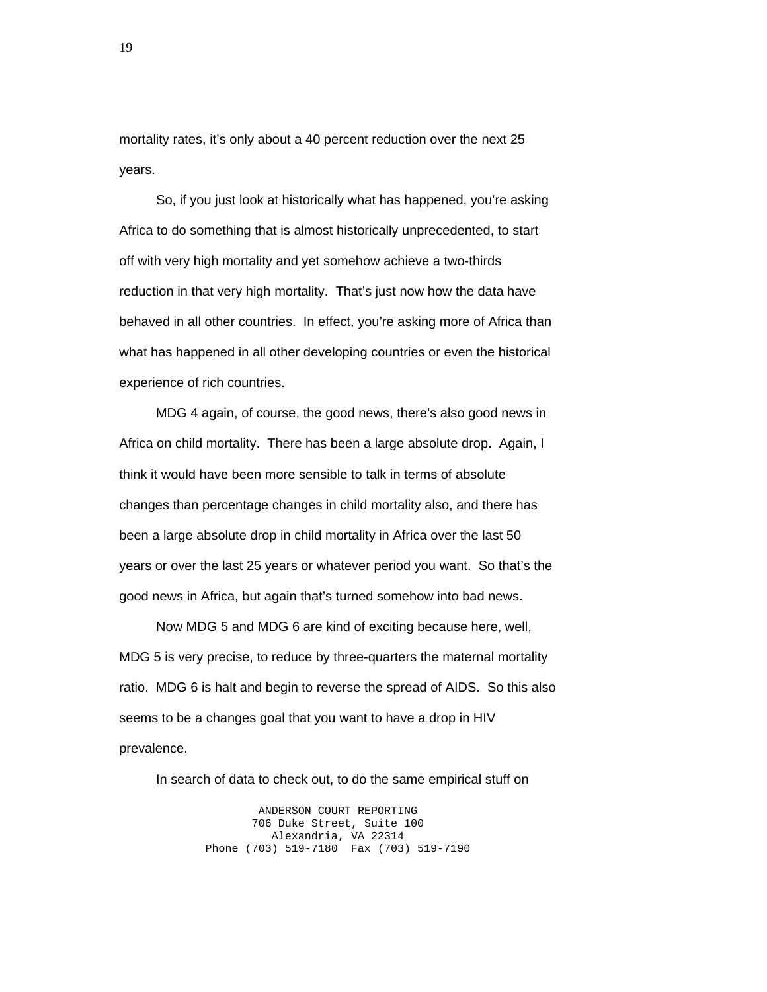mortality rates, it's only about a 40 percent reduction over the next 25 years.

 So, if you just look at historically what has happened, you're asking Africa to do something that is almost historically unprecedented, to start off with very high mortality and yet somehow achieve a two-thirds reduction in that very high mortality. That's just now how the data have behaved in all other countries. In effect, you're asking more of Africa than what has happened in all other developing countries or even the historical experience of rich countries.

 MDG 4 again, of course, the good news, there's also good news in Africa on child mortality. There has been a large absolute drop. Again, I think it would have been more sensible to talk in terms of absolute changes than percentage changes in child mortality also, and there has been a large absolute drop in child mortality in Africa over the last 50 years or over the last 25 years or whatever period you want. So that's the good news in Africa, but again that's turned somehow into bad news.

 Now MDG 5 and MDG 6 are kind of exciting because here, well, MDG 5 is very precise, to reduce by three-quarters the maternal mortality ratio. MDG 6 is halt and begin to reverse the spread of AIDS. So this also seems to be a changes goal that you want to have a drop in HIV prevalence.

In search of data to check out, to do the same empirical stuff on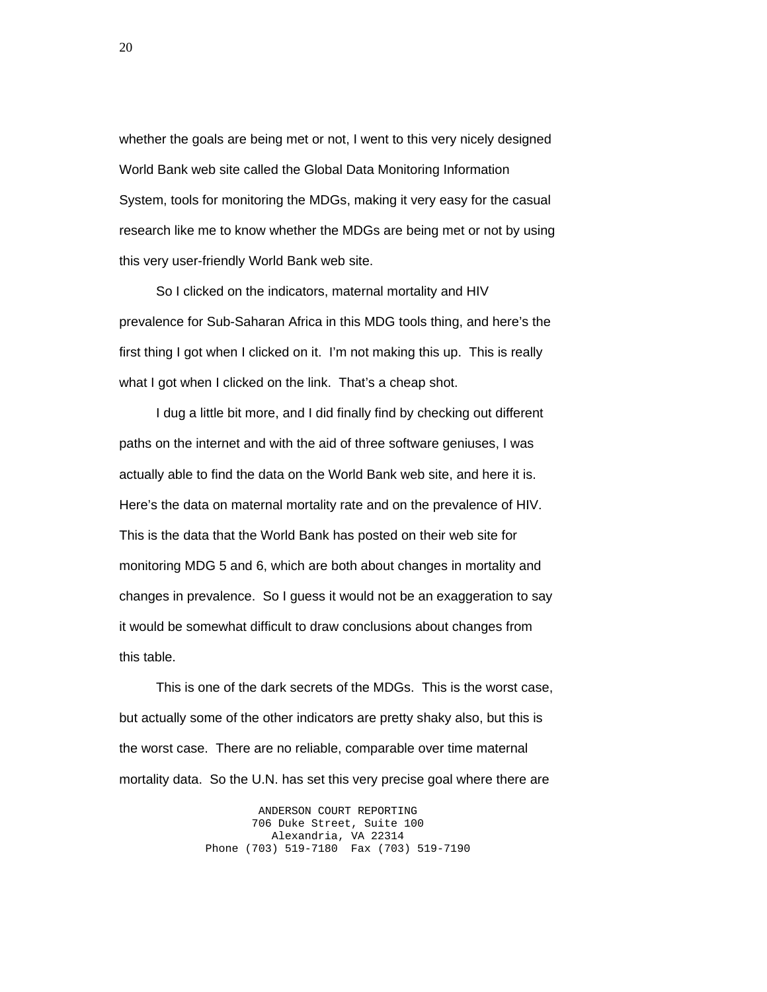whether the goals are being met or not, I went to this very nicely designed World Bank web site called the Global Data Monitoring Information System, tools for monitoring the MDGs, making it very easy for the casual research like me to know whether the MDGs are being met or not by using this very user-friendly World Bank web site.

 So I clicked on the indicators, maternal mortality and HIV prevalence for Sub-Saharan Africa in this MDG tools thing, and here's the first thing I got when I clicked on it. I'm not making this up. This is really what I got when I clicked on the link. That's a cheap shot.

 I dug a little bit more, and I did finally find by checking out different paths on the internet and with the aid of three software geniuses, I was actually able to find the data on the World Bank web site, and here it is. Here's the data on maternal mortality rate and on the prevalence of HIV. This is the data that the World Bank has posted on their web site for monitoring MDG 5 and 6, which are both about changes in mortality and changes in prevalence. So I guess it would not be an exaggeration to say it would be somewhat difficult to draw conclusions about changes from this table.

 This is one of the dark secrets of the MDGs. This is the worst case, but actually some of the other indicators are pretty shaky also, but this is the worst case. There are no reliable, comparable over time maternal mortality data. So the U.N. has set this very precise goal where there are

> ANDERSON COURT REPORTING 706 Duke Street, Suite 100 Alexandria, VA 22314 Phone (703) 519-7180 Fax (703) 519-7190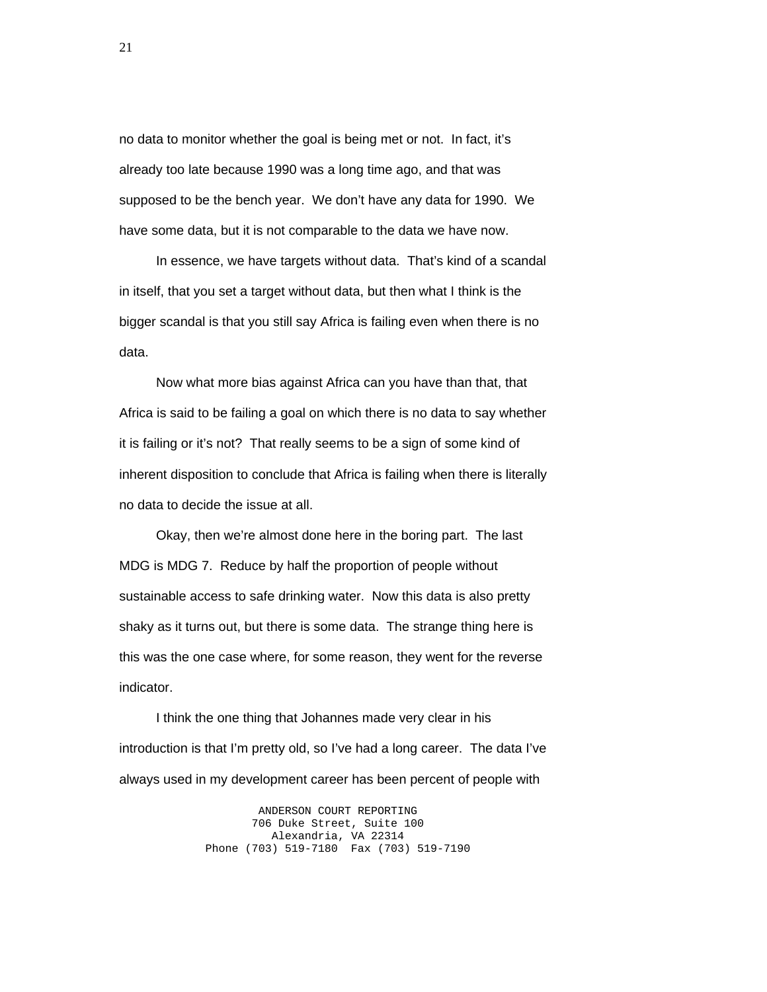no data to monitor whether the goal is being met or not. In fact, it's already too late because 1990 was a long time ago, and that was supposed to be the bench year. We don't have any data for 1990. We have some data, but it is not comparable to the data we have now.

 In essence, we have targets without data. That's kind of a scandal in itself, that you set a target without data, but then what I think is the bigger scandal is that you still say Africa is failing even when there is no data.

 Now what more bias against Africa can you have than that, that Africa is said to be failing a goal on which there is no data to say whether it is failing or it's not? That really seems to be a sign of some kind of inherent disposition to conclude that Africa is failing when there is literally no data to decide the issue at all.

 Okay, then we're almost done here in the boring part. The last MDG is MDG 7. Reduce by half the proportion of people without sustainable access to safe drinking water. Now this data is also pretty shaky as it turns out, but there is some data. The strange thing here is this was the one case where, for some reason, they went for the reverse indicator.

 I think the one thing that Johannes made very clear in his introduction is that I'm pretty old, so I've had a long career. The data I've always used in my development career has been percent of people with

> ANDERSON COURT REPORTING 706 Duke Street, Suite 100 Alexandria, VA 22314 Phone (703) 519-7180 Fax (703) 519-7190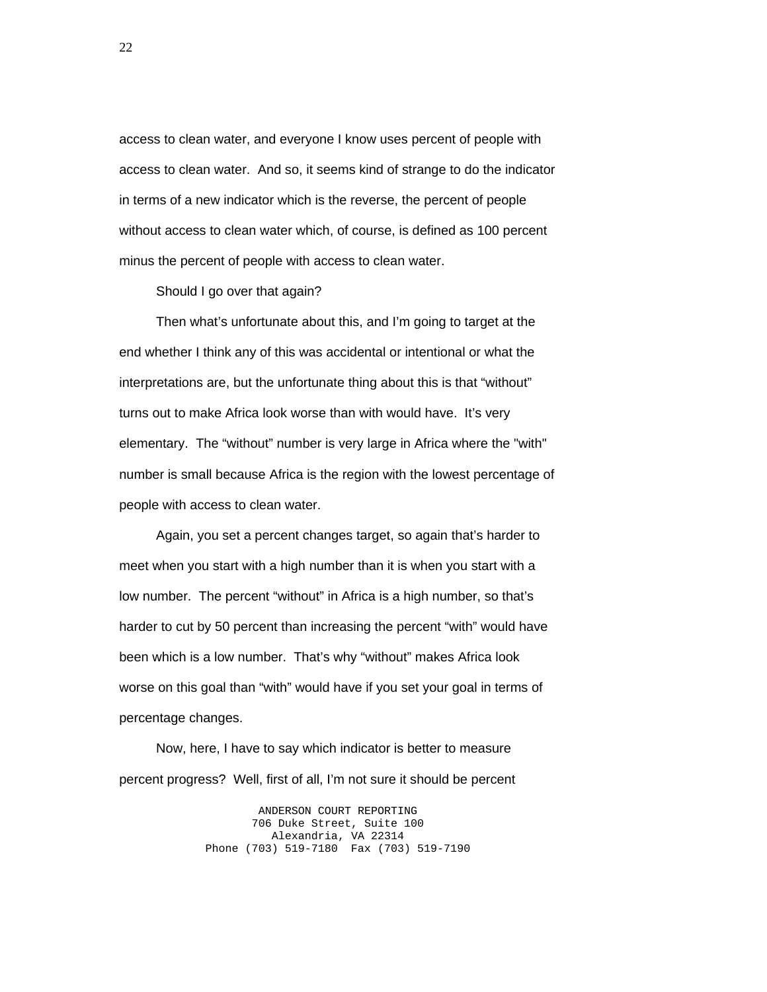access to clean water, and everyone I know uses percent of people with access to clean water. And so, it seems kind of strange to do the indicator in terms of a new indicator which is the reverse, the percent of people without access to clean water which, of course, is defined as 100 percent minus the percent of people with access to clean water.

Should I go over that again?

 Then what's unfortunate about this, and I'm going to target at the end whether I think any of this was accidental or intentional or what the interpretations are, but the unfortunate thing about this is that "without" turns out to make Africa look worse than with would have. It's very elementary. The "without" number is very large in Africa where the "with" number is small because Africa is the region with the lowest percentage of people with access to clean water.

 Again, you set a percent changes target, so again that's harder to meet when you start with a high number than it is when you start with a low number. The percent "without" in Africa is a high number, so that's harder to cut by 50 percent than increasing the percent "with" would have been which is a low number. That's why "without" makes Africa look worse on this goal than "with" would have if you set your goal in terms of percentage changes.

 Now, here, I have to say which indicator is better to measure percent progress? Well, first of all, I'm not sure it should be percent

> ANDERSON COURT REPORTING 706 Duke Street, Suite 100 Alexandria, VA 22314 Phone (703) 519-7180 Fax (703) 519-7190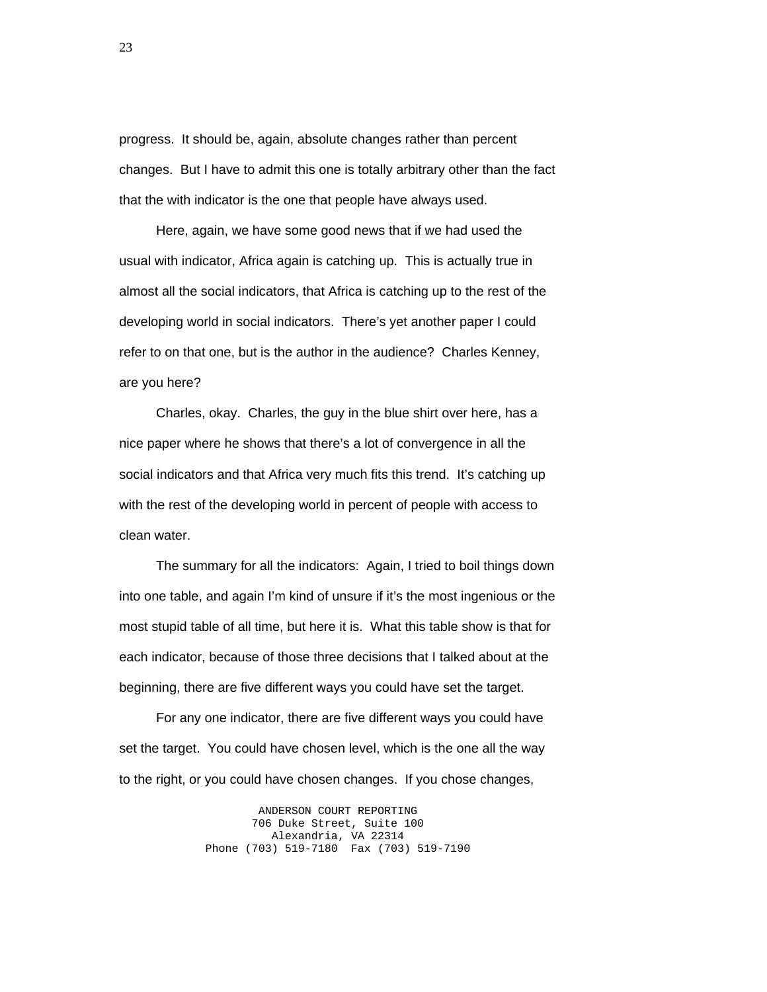progress. It should be, again, absolute changes rather than percent changes. But I have to admit this one is totally arbitrary other than the fact that the with indicator is the one that people have always used.

 Here, again, we have some good news that if we had used the usual with indicator, Africa again is catching up. This is actually true in almost all the social indicators, that Africa is catching up to the rest of the developing world in social indicators. There's yet another paper I could refer to on that one, but is the author in the audience? Charles Kenney, are you here?

 Charles, okay. Charles, the guy in the blue shirt over here, has a nice paper where he shows that there's a lot of convergence in all the social indicators and that Africa very much fits this trend. It's catching up with the rest of the developing world in percent of people with access to clean water.

 The summary for all the indicators: Again, I tried to boil things down into one table, and again I'm kind of unsure if it's the most ingenious or the most stupid table of all time, but here it is. What this table show is that for each indicator, because of those three decisions that I talked about at the beginning, there are five different ways you could have set the target.

 For any one indicator, there are five different ways you could have set the target. You could have chosen level, which is the one all the way to the right, or you could have chosen changes. If you chose changes,

> ANDERSON COURT REPORTING 706 Duke Street, Suite 100 Alexandria, VA 22314 Phone (703) 519-7180 Fax (703) 519-7190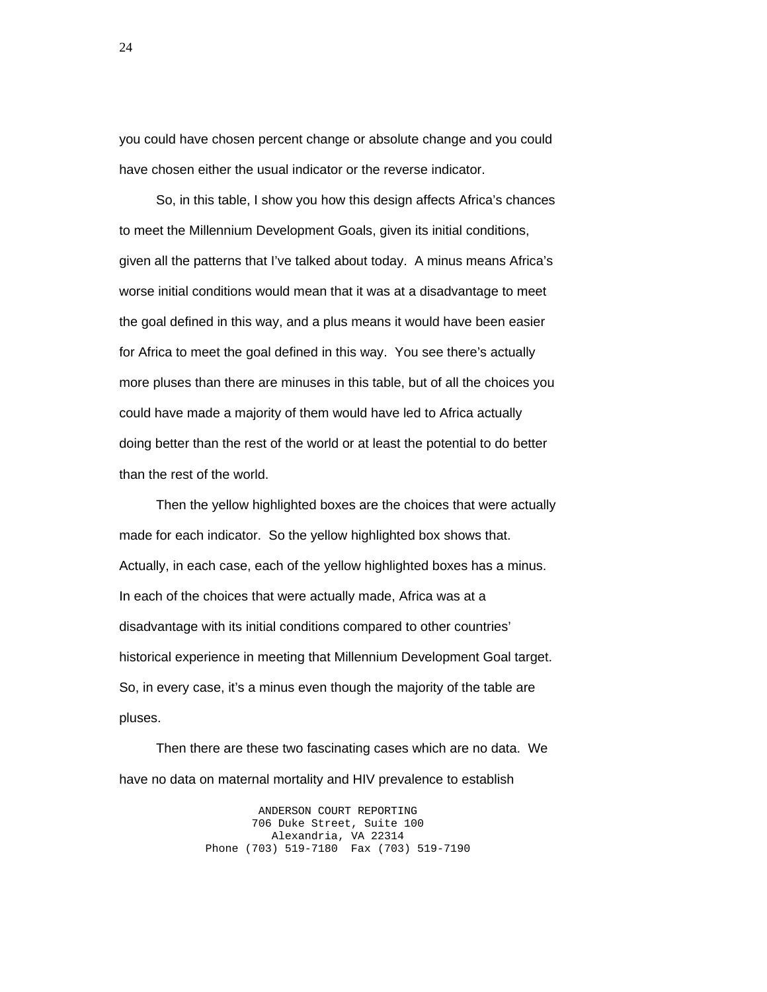you could have chosen percent change or absolute change and you could have chosen either the usual indicator or the reverse indicator.

 So, in this table, I show you how this design affects Africa's chances to meet the Millennium Development Goals, given its initial conditions, given all the patterns that I've talked about today. A minus means Africa's worse initial conditions would mean that it was at a disadvantage to meet the goal defined in this way, and a plus means it would have been easier for Africa to meet the goal defined in this way. You see there's actually more pluses than there are minuses in this table, but of all the choices you could have made a majority of them would have led to Africa actually doing better than the rest of the world or at least the potential to do better than the rest of the world.

 Then the yellow highlighted boxes are the choices that were actually made for each indicator. So the yellow highlighted box shows that. Actually, in each case, each of the yellow highlighted boxes has a minus. In each of the choices that were actually made, Africa was at a disadvantage with its initial conditions compared to other countries' historical experience in meeting that Millennium Development Goal target. So, in every case, it's a minus even though the majority of the table are pluses.

 Then there are these two fascinating cases which are no data. We have no data on maternal mortality and HIV prevalence to establish

> ANDERSON COURT REPORTING 706 Duke Street, Suite 100 Alexandria, VA 22314 Phone (703) 519-7180 Fax (703) 519-7190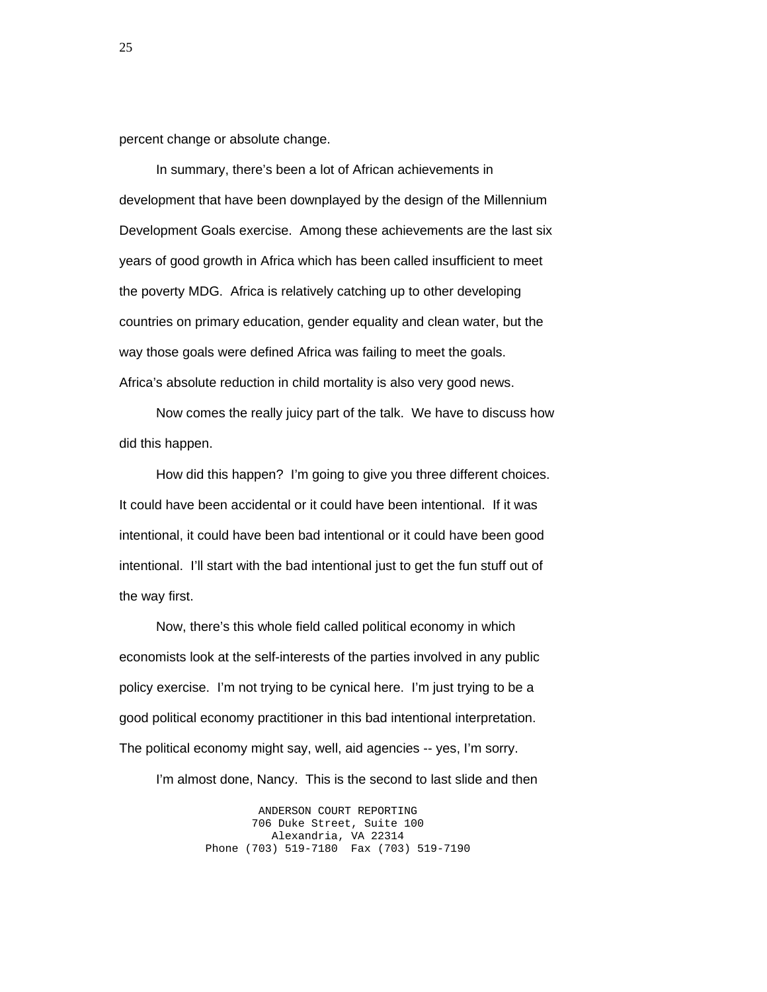percent change or absolute change.

 In summary, there's been a lot of African achievements in development that have been downplayed by the design of the Millennium Development Goals exercise. Among these achievements are the last six years of good growth in Africa which has been called insufficient to meet the poverty MDG. Africa is relatively catching up to other developing countries on primary education, gender equality and clean water, but the way those goals were defined Africa was failing to meet the goals. Africa's absolute reduction in child mortality is also very good news.

 Now comes the really juicy part of the talk. We have to discuss how did this happen.

 How did this happen? I'm going to give you three different choices. It could have been accidental or it could have been intentional. If it was intentional, it could have been bad intentional or it could have been good intentional. I'll start with the bad intentional just to get the fun stuff out of the way first.

 Now, there's this whole field called political economy in which economists look at the self-interests of the parties involved in any public policy exercise. I'm not trying to be cynical here. I'm just trying to be a good political economy practitioner in this bad intentional interpretation. The political economy might say, well, aid agencies -- yes, I'm sorry.

I'm almost done, Nancy. This is the second to last slide and then

ANDERSON COURT REPORTING 706 Duke Street, Suite 100 Alexandria, VA 22314 Phone (703) 519-7180 Fax (703) 519-7190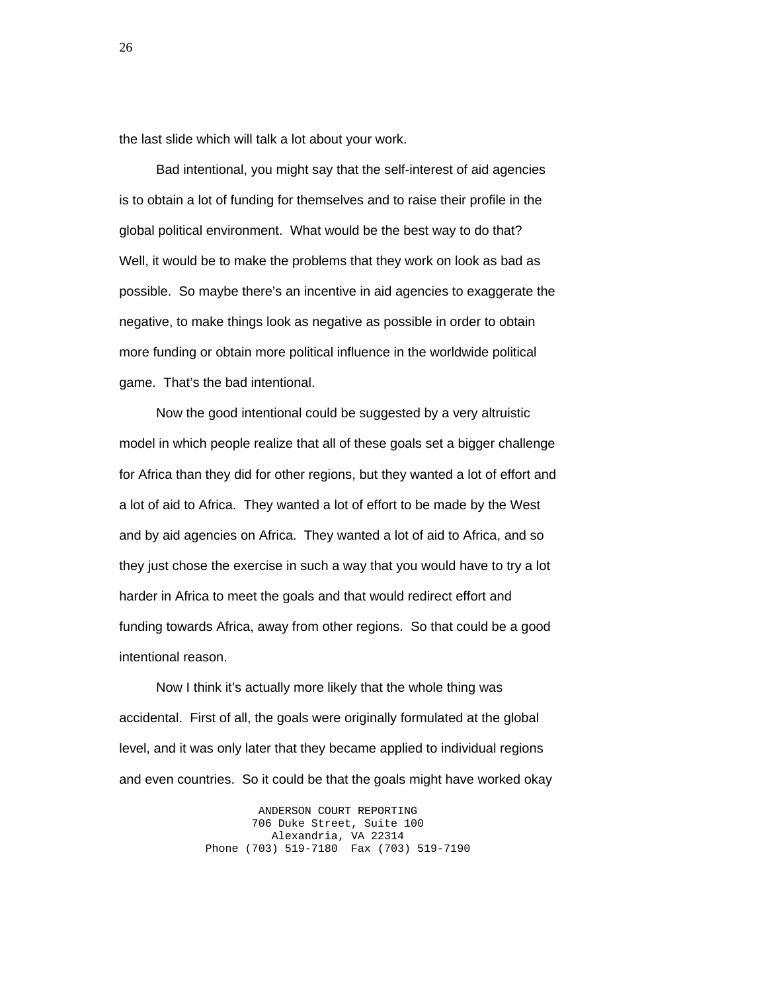the last slide which will talk a lot about your work.

 Bad intentional, you might say that the self-interest of aid agencies is to obtain a lot of funding for themselves and to raise their profile in the global political environment. What would be the best way to do that? Well, it would be to make the problems that they work on look as bad as possible. So maybe there's an incentive in aid agencies to exaggerate the negative, to make things look as negative as possible in order to obtain more funding or obtain more political influence in the worldwide political game. That's the bad intentional.

 Now the good intentional could be suggested by a very altruistic model in which people realize that all of these goals set a bigger challenge for Africa than they did for other regions, but they wanted a lot of effort and a lot of aid to Africa. They wanted a lot of effort to be made by the West and by aid agencies on Africa. They wanted a lot of aid to Africa, and so they just chose the exercise in such a way that you would have to try a lot harder in Africa to meet the goals and that would redirect effort and funding towards Africa, away from other regions. So that could be a good intentional reason.

 Now I think it's actually more likely that the whole thing was accidental. First of all, the goals were originally formulated at the global level, and it was only later that they became applied to individual regions and even countries. So it could be that the goals might have worked okay

> ANDERSON COURT REPORTING 706 Duke Street, Suite 100 Alexandria, VA 22314 Phone (703) 519-7180 Fax (703) 519-7190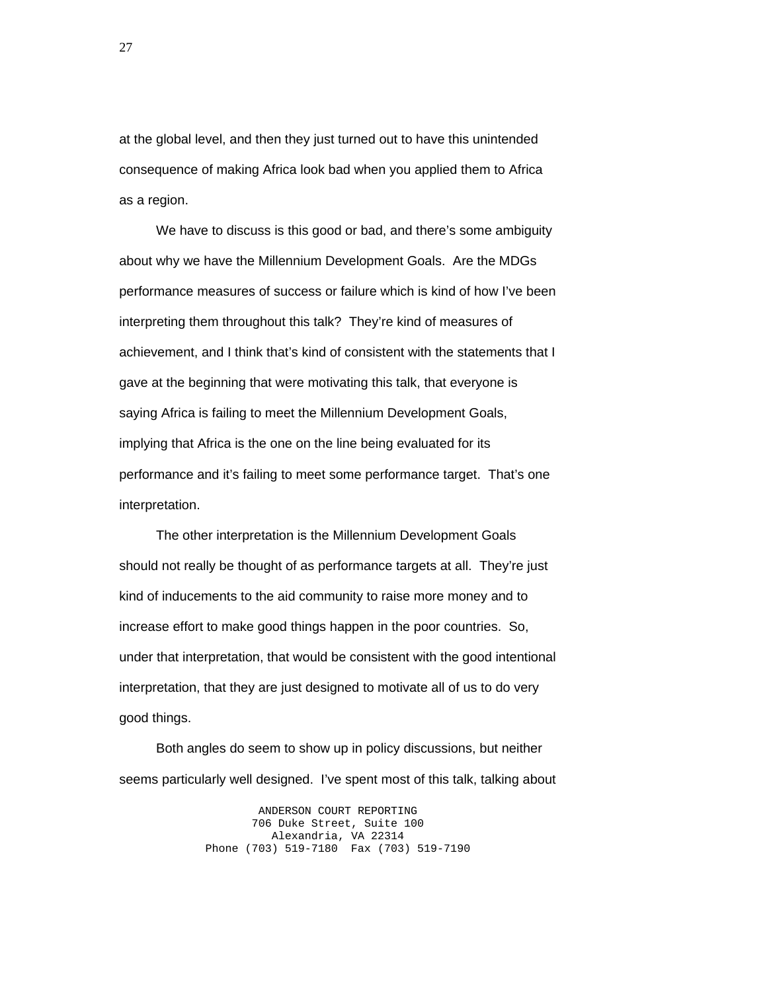at the global level, and then they just turned out to have this unintended consequence of making Africa look bad when you applied them to Africa as a region.

 We have to discuss is this good or bad, and there's some ambiguity about why we have the Millennium Development Goals. Are the MDGs performance measures of success or failure which is kind of how I've been interpreting them throughout this talk? They're kind of measures of achievement, and I think that's kind of consistent with the statements that I gave at the beginning that were motivating this talk, that everyone is saying Africa is failing to meet the Millennium Development Goals, implying that Africa is the one on the line being evaluated for its performance and it's failing to meet some performance target. That's one interpretation.

 The other interpretation is the Millennium Development Goals should not really be thought of as performance targets at all. They're just kind of inducements to the aid community to raise more money and to increase effort to make good things happen in the poor countries. So, under that interpretation, that would be consistent with the good intentional interpretation, that they are just designed to motivate all of us to do very good things.

 Both angles do seem to show up in policy discussions, but neither seems particularly well designed. I've spent most of this talk, talking about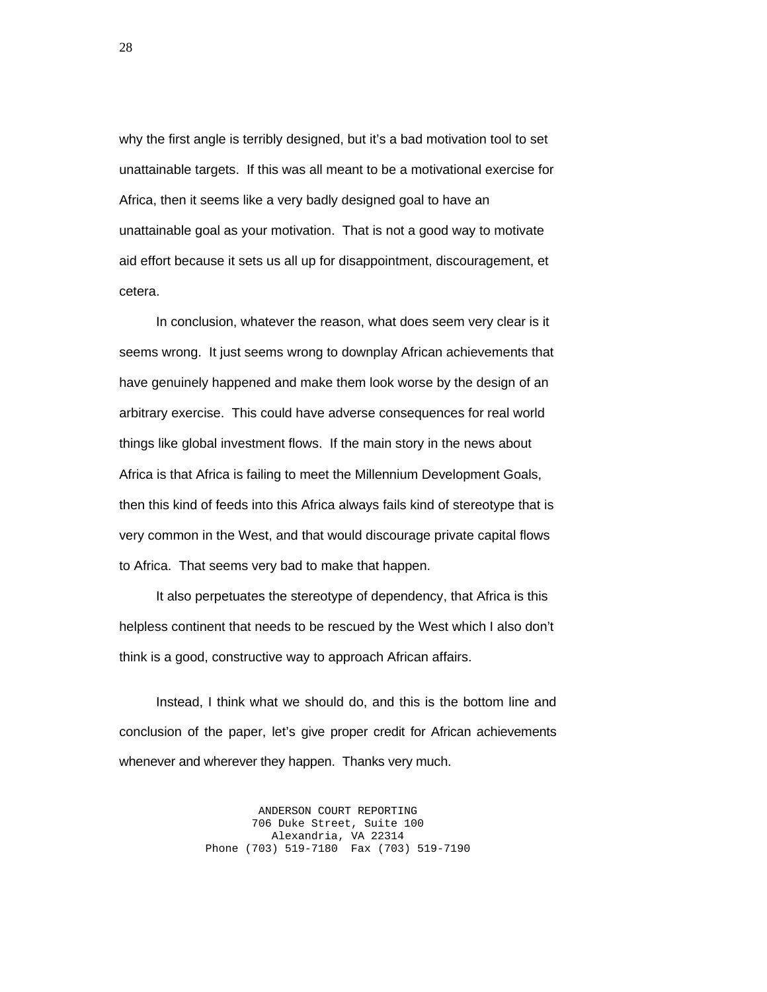why the first angle is terribly designed, but it's a bad motivation tool to set unattainable targets. If this was all meant to be a motivational exercise for Africa, then it seems like a very badly designed goal to have an unattainable goal as your motivation. That is not a good way to motivate aid effort because it sets us all up for disappointment, discouragement, et cetera.

 In conclusion, whatever the reason, what does seem very clear is it seems wrong. It just seems wrong to downplay African achievements that have genuinely happened and make them look worse by the design of an arbitrary exercise. This could have adverse consequences for real world things like global investment flows. If the main story in the news about Africa is that Africa is failing to meet the Millennium Development Goals, then this kind of feeds into this Africa always fails kind of stereotype that is very common in the West, and that would discourage private capital flows to Africa. That seems very bad to make that happen.

 It also perpetuates the stereotype of dependency, that Africa is this helpless continent that needs to be rescued by the West which I also don't think is a good, constructive way to approach African affairs.

 Instead, I think what we should do, and this is the bottom line and conclusion of the paper, let's give proper credit for African achievements whenever and wherever they happen. Thanks very much.

> ANDERSON COURT REPORTING 706 Duke Street, Suite 100 Alexandria, VA 22314 Phone (703) 519-7180 Fax (703) 519-7190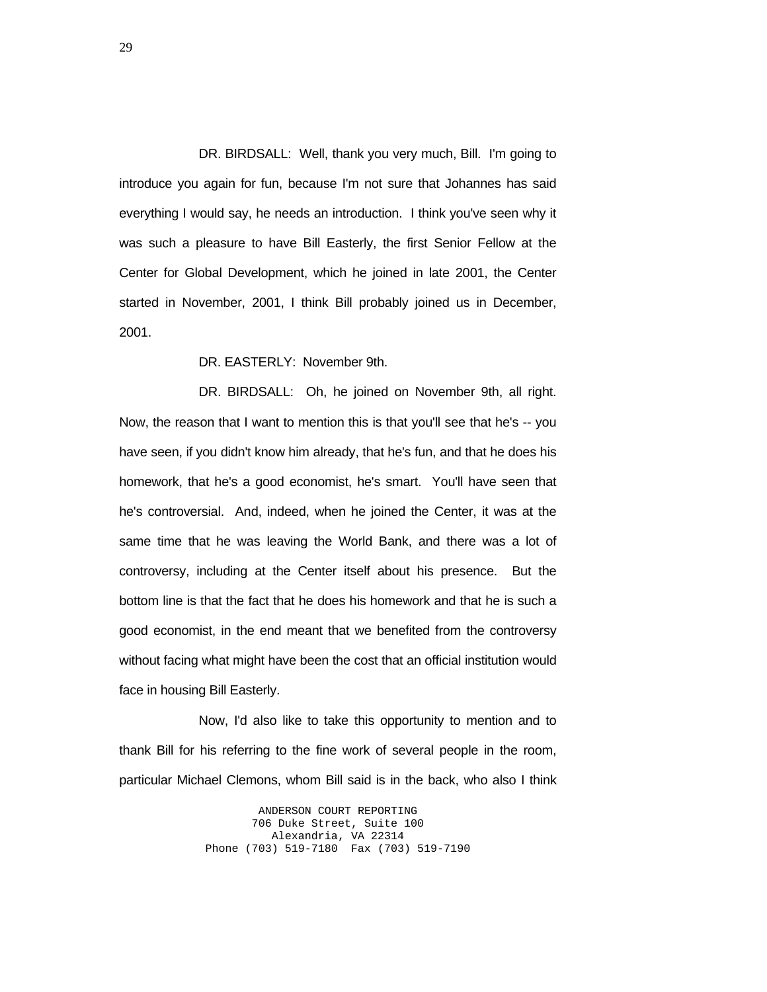DR. BIRDSALL: Well, thank you very much, Bill. I'm going to introduce you again for fun, because I'm not sure that Johannes has said everything I would say, he needs an introduction. I think you've seen why it was such a pleasure to have Bill Easterly, the first Senior Fellow at the Center for Global Development, which he joined in late 2001, the Center started in November, 2001, I think Bill probably joined us in December, 2001.

DR. EASTERLY: November 9th.

 DR. BIRDSALL: Oh, he joined on November 9th, all right. Now, the reason that I want to mention this is that you'll see that he's -- you have seen, if you didn't know him already, that he's fun, and that he does his homework, that he's a good economist, he's smart. You'll have seen that he's controversial. And, indeed, when he joined the Center, it was at the same time that he was leaving the World Bank, and there was a lot of controversy, including at the Center itself about his presence. But the bottom line is that the fact that he does his homework and that he is such a good economist, in the end meant that we benefited from the controversy without facing what might have been the cost that an official institution would face in housing Bill Easterly.

 Now, I'd also like to take this opportunity to mention and to thank Bill for his referring to the fine work of several people in the room, particular Michael Clemons, whom Bill said is in the back, who also I think

> ANDERSON COURT REPORTING 706 Duke Street, Suite 100 Alexandria, VA 22314 Phone (703) 519-7180 Fax (703) 519-7190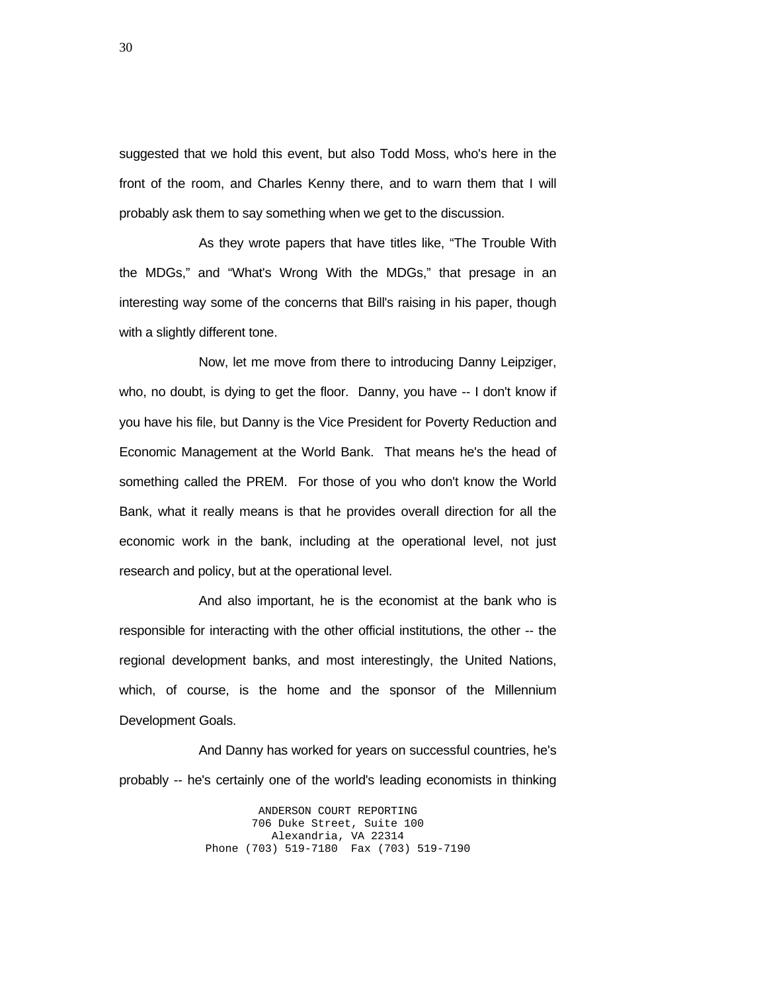suggested that we hold this event, but also Todd Moss, who's here in the front of the room, and Charles Kenny there, and to warn them that I will probably ask them to say something when we get to the discussion.

 As they wrote papers that have titles like, "The Trouble With the MDGs," and "What's Wrong With the MDGs," that presage in an interesting way some of the concerns that Bill's raising in his paper, though with a slightly different tone.

 Now, let me move from there to introducing Danny Leipziger, who, no doubt, is dying to get the floor. Danny, you have -- I don't know if you have his file, but Danny is the Vice President for Poverty Reduction and Economic Management at the World Bank. That means he's the head of something called the PREM. For those of you who don't know the World Bank, what it really means is that he provides overall direction for all the economic work in the bank, including at the operational level, not just research and policy, but at the operational level.

 And also important, he is the economist at the bank who is responsible for interacting with the other official institutions, the other -- the regional development banks, and most interestingly, the United Nations, which, of course, is the home and the sponsor of the Millennium Development Goals.

 And Danny has worked for years on successful countries, he's probably -- he's certainly one of the world's leading economists in thinking

> ANDERSON COURT REPORTING 706 Duke Street, Suite 100 Alexandria, VA 22314 Phone (703) 519-7180 Fax (703) 519-7190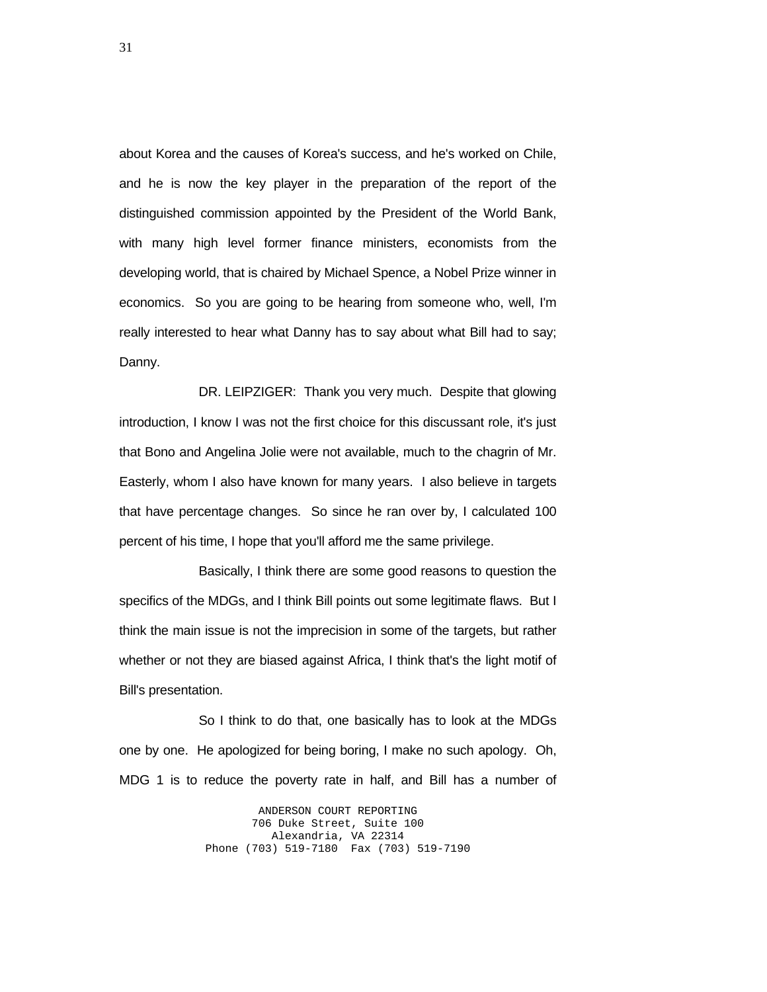about Korea and the causes of Korea's success, and he's worked on Chile, and he is now the key player in the preparation of the report of the distinguished commission appointed by the President of the World Bank, with many high level former finance ministers, economists from the developing world, that is chaired by Michael Spence, a Nobel Prize winner in economics. So you are going to be hearing from someone who, well, I'm really interested to hear what Danny has to say about what Bill had to say; Danny.

 DR. LEIPZIGER: Thank you very much. Despite that glowing introduction, I know I was not the first choice for this discussant role, it's just that Bono and Angelina Jolie were not available, much to the chagrin of Mr. Easterly, whom I also have known for many years. I also believe in targets that have percentage changes. So since he ran over by, I calculated 100 percent of his time, I hope that you'll afford me the same privilege.

 Basically, I think there are some good reasons to question the specifics of the MDGs, and I think Bill points out some legitimate flaws. But I think the main issue is not the imprecision in some of the targets, but rather whether or not they are biased against Africa, I think that's the light motif of Bill's presentation.

 So I think to do that, one basically has to look at the MDGs one by one. He apologized for being boring, I make no such apology. Oh, MDG 1 is to reduce the poverty rate in half, and Bill has a number of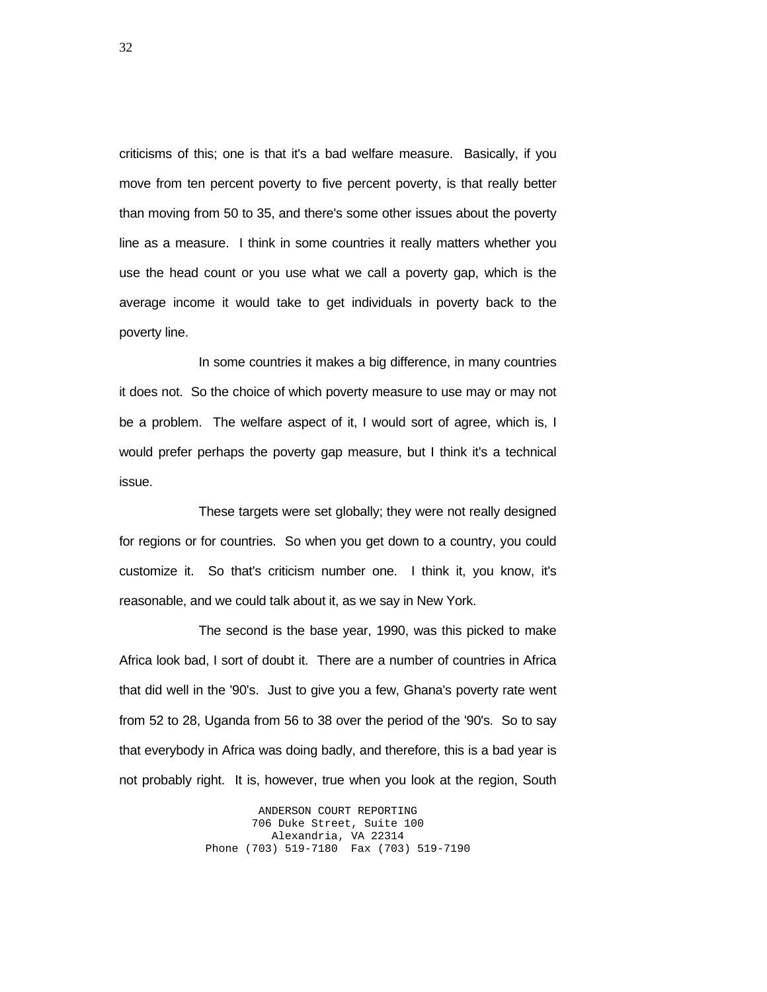criticisms of this; one is that it's a bad welfare measure. Basically, if you move from ten percent poverty to five percent poverty, is that really better than moving from 50 to 35, and there's some other issues about the poverty line as a measure. I think in some countries it really matters whether you use the head count or you use what we call a poverty gap, which is the average income it would take to get individuals in poverty back to the poverty line.

 In some countries it makes a big difference, in many countries it does not. So the choice of which poverty measure to use may or may not be a problem. The welfare aspect of it, I would sort of agree, which is, I would prefer perhaps the poverty gap measure, but I think it's a technical issue.

 These targets were set globally; they were not really designed for regions or for countries. So when you get down to a country, you could customize it. So that's criticism number one. I think it, you know, it's reasonable, and we could talk about it, as we say in New York.

 The second is the base year, 1990, was this picked to make Africa look bad, I sort of doubt it. There are a number of countries in Africa that did well in the '90's. Just to give you a few, Ghana's poverty rate went from 52 to 28, Uganda from 56 to 38 over the period of the '90's. So to say that everybody in Africa was doing badly, and therefore, this is a bad year is not probably right. It is, however, true when you look at the region, South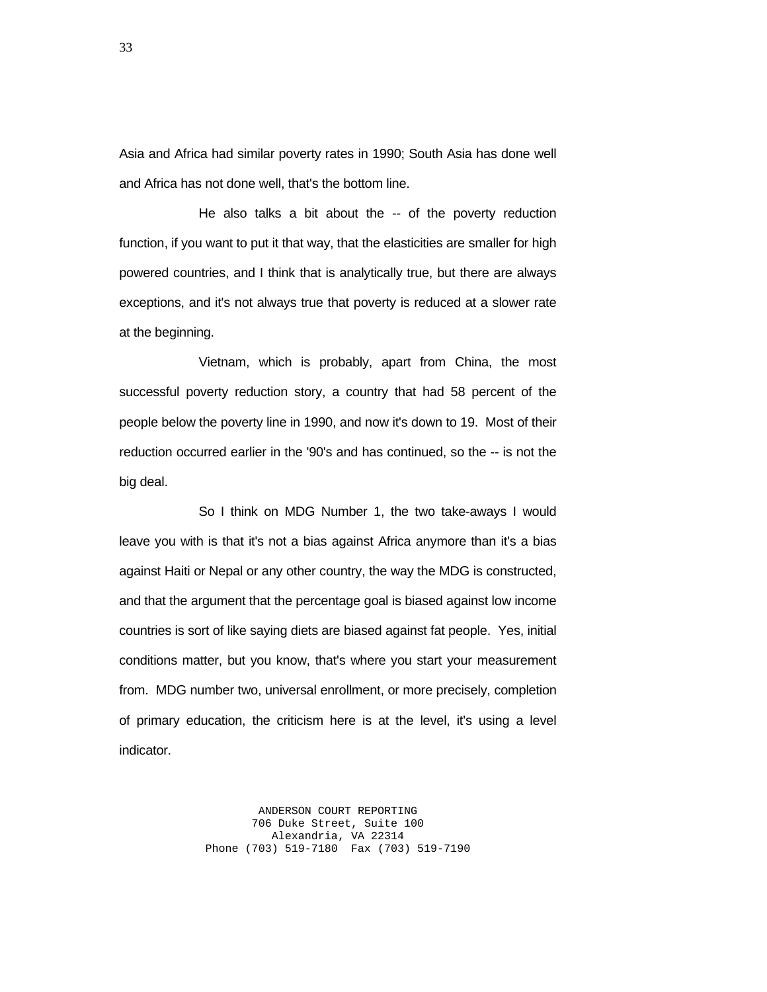Asia and Africa had similar poverty rates in 1990; South Asia has done well and Africa has not done well, that's the bottom line.

 He also talks a bit about the -- of the poverty reduction function, if you want to put it that way, that the elasticities are smaller for high powered countries, and I think that is analytically true, but there are always exceptions, and it's not always true that poverty is reduced at a slower rate at the beginning.

 Vietnam, which is probably, apart from China, the most successful poverty reduction story, a country that had 58 percent of the people below the poverty line in 1990, and now it's down to 19. Most of their reduction occurred earlier in the '90's and has continued, so the -- is not the big deal.

 So I think on MDG Number 1, the two take-aways I would leave you with is that it's not a bias against Africa anymore than it's a bias against Haiti or Nepal or any other country, the way the MDG is constructed, and that the argument that the percentage goal is biased against low income countries is sort of like saying diets are biased against fat people. Yes, initial conditions matter, but you know, that's where you start your measurement from. MDG number two, universal enrollment, or more precisely, completion of primary education, the criticism here is at the level, it's using a level indicator.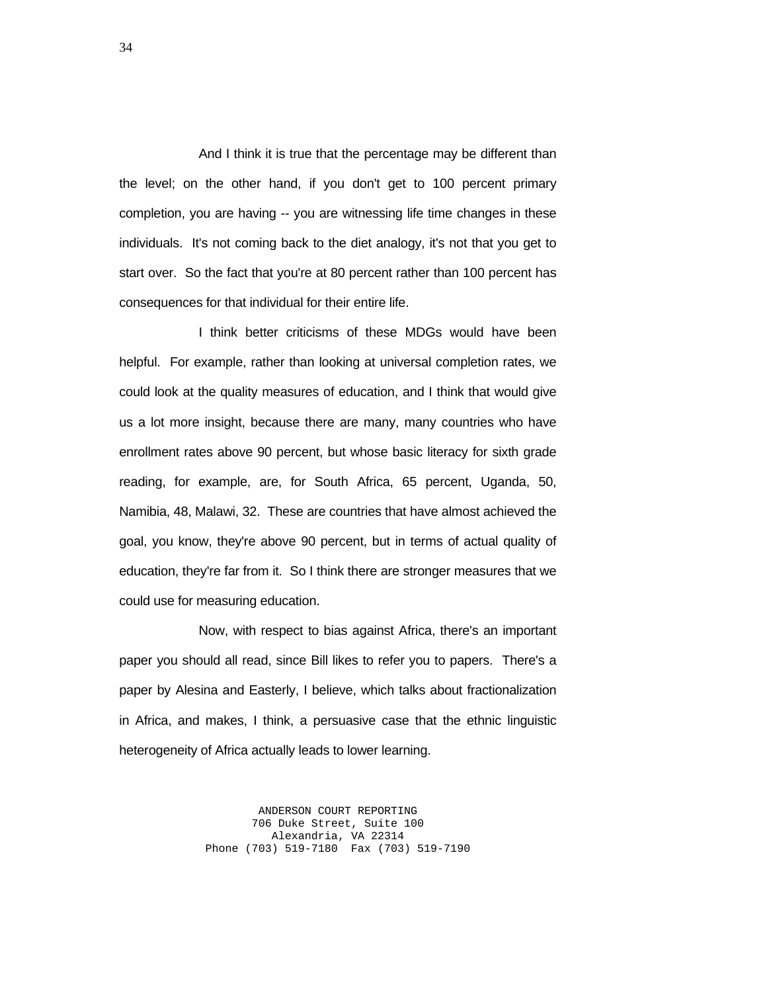And I think it is true that the percentage may be different than the level; on the other hand, if you don't get to 100 percent primary completion, you are having -- you are witnessing life time changes in these individuals. It's not coming back to the diet analogy, it's not that you get to start over. So the fact that you're at 80 percent rather than 100 percent has consequences for that individual for their entire life.

 I think better criticisms of these MDGs would have been helpful. For example, rather than looking at universal completion rates, we could look at the quality measures of education, and I think that would give us a lot more insight, because there are many, many countries who have enrollment rates above 90 percent, but whose basic literacy for sixth grade reading, for example, are, for South Africa, 65 percent, Uganda, 50, Namibia, 48, Malawi, 32. These are countries that have almost achieved the goal, you know, they're above 90 percent, but in terms of actual quality of education, they're far from it. So I think there are stronger measures that we could use for measuring education.

 Now, with respect to bias against Africa, there's an important paper you should all read, since Bill likes to refer you to papers. There's a paper by Alesina and Easterly, I believe, which talks about fractionalization in Africa, and makes, I think, a persuasive case that the ethnic linguistic heterogeneity of Africa actually leads to lower learning.

> ANDERSON COURT REPORTING 706 Duke Street, Suite 100 Alexandria, VA 22314 Phone (703) 519-7180 Fax (703) 519-7190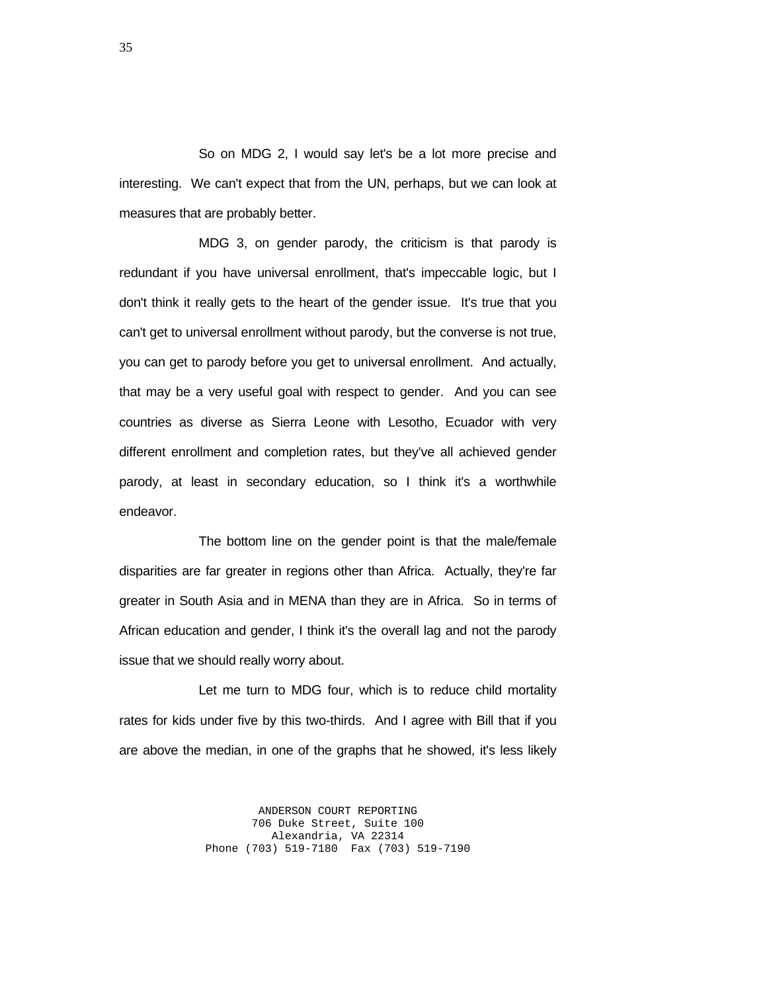So on MDG 2, I would say let's be a lot more precise and interesting. We can't expect that from the UN, perhaps, but we can look at measures that are probably better.

 MDG 3, on gender parody, the criticism is that parody is redundant if you have universal enrollment, that's impeccable logic, but I don't think it really gets to the heart of the gender issue. It's true that you can't get to universal enrollment without parody, but the converse is not true, you can get to parody before you get to universal enrollment. And actually, that may be a very useful goal with respect to gender. And you can see countries as diverse as Sierra Leone with Lesotho, Ecuador with very different enrollment and completion rates, but they've all achieved gender parody, at least in secondary education, so I think it's a worthwhile endeavor.

 The bottom line on the gender point is that the male/female disparities are far greater in regions other than Africa. Actually, they're far greater in South Asia and in MENA than they are in Africa. So in terms of African education and gender, I think it's the overall lag and not the parody issue that we should really worry about.

 Let me turn to MDG four, which is to reduce child mortality rates for kids under five by this two-thirds. And I agree with Bill that if you are above the median, in one of the graphs that he showed, it's less likely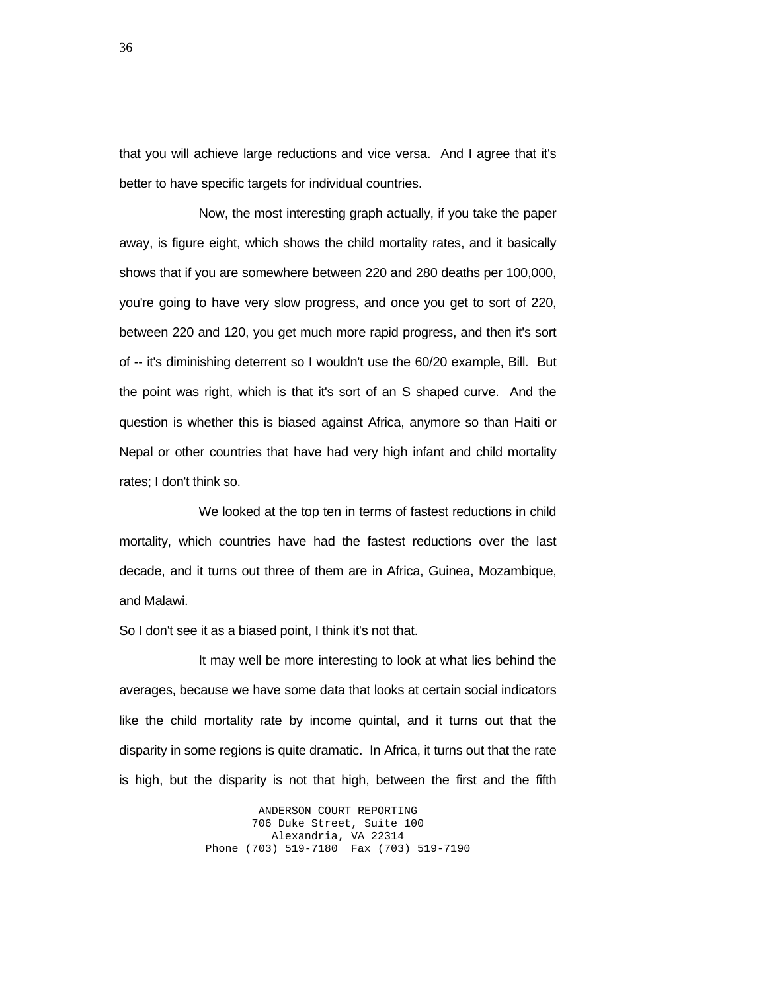that you will achieve large reductions and vice versa. And I agree that it's better to have specific targets for individual countries.

 Now, the most interesting graph actually, if you take the paper away, is figure eight, which shows the child mortality rates, and it basically shows that if you are somewhere between 220 and 280 deaths per 100,000, you're going to have very slow progress, and once you get to sort of 220, between 220 and 120, you get much more rapid progress, and then it's sort of -- it's diminishing deterrent so I wouldn't use the 60/20 example, Bill. But the point was right, which is that it's sort of an S shaped curve. And the question is whether this is biased against Africa, anymore so than Haiti or Nepal or other countries that have had very high infant and child mortality rates; I don't think so.

 We looked at the top ten in terms of fastest reductions in child mortality, which countries have had the fastest reductions over the last decade, and it turns out three of them are in Africa, Guinea, Mozambique, and Malawi.

So I don't see it as a biased point, I think it's not that.

 It may well be more interesting to look at what lies behind the averages, because we have some data that looks at certain social indicators like the child mortality rate by income quintal, and it turns out that the disparity in some regions is quite dramatic. In Africa, it turns out that the rate is high, but the disparity is not that high, between the first and the fifth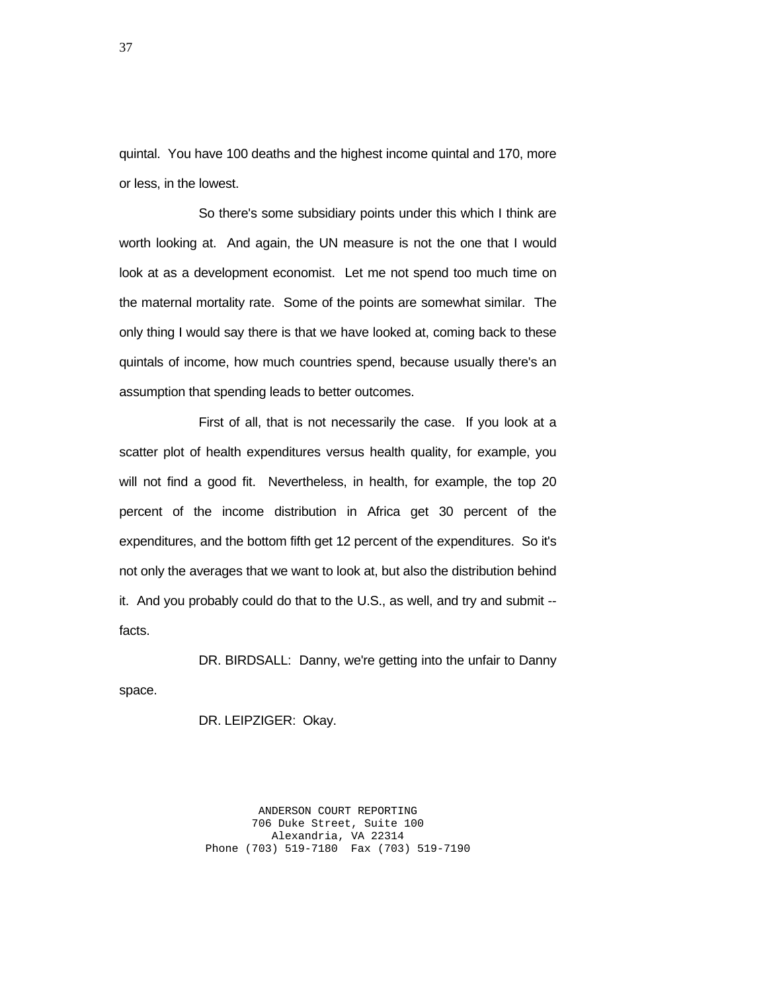quintal. You have 100 deaths and the highest income quintal and 170, more or less, in the lowest.

 So there's some subsidiary points under this which I think are worth looking at. And again, the UN measure is not the one that I would look at as a development economist. Let me not spend too much time on the maternal mortality rate. Some of the points are somewhat similar. The only thing I would say there is that we have looked at, coming back to these quintals of income, how much countries spend, because usually there's an assumption that spending leads to better outcomes.

 First of all, that is not necessarily the case. If you look at a scatter plot of health expenditures versus health quality, for example, you will not find a good fit. Nevertheless, in health, for example, the top 20 percent of the income distribution in Africa get 30 percent of the expenditures, and the bottom fifth get 12 percent of the expenditures. So it's not only the averages that we want to look at, but also the distribution behind it. And you probably could do that to the U.S., as well, and try and submit - facts.

 DR. BIRDSALL: Danny, we're getting into the unfair to Danny space.

DR. LEIPZIGER: Okay.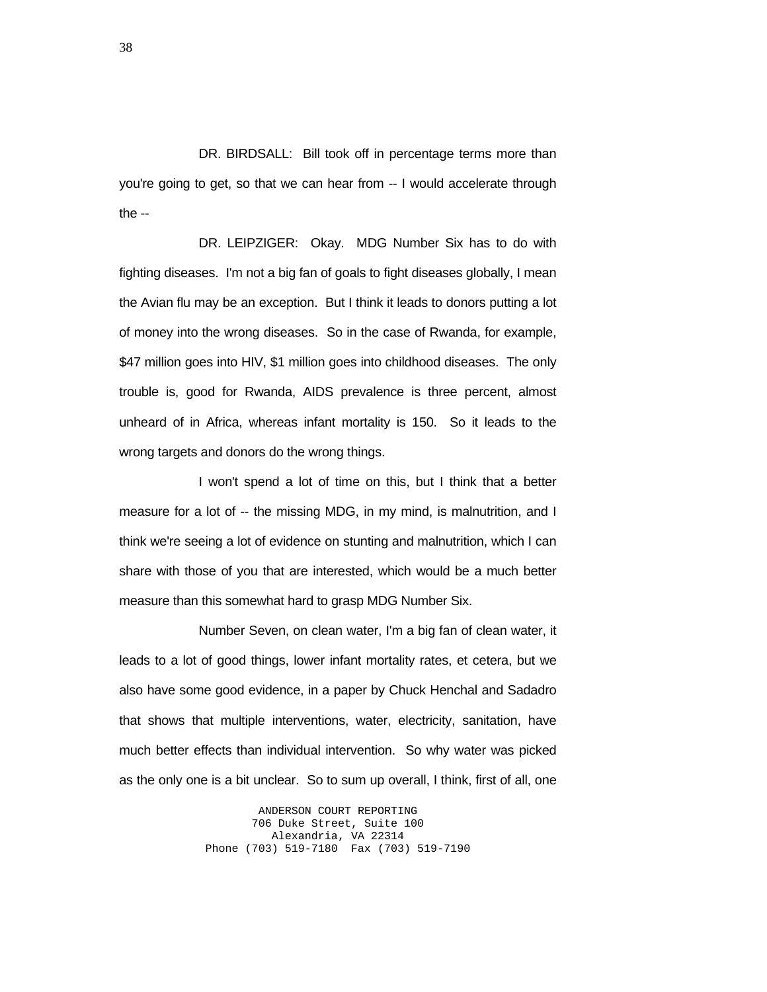DR. BIRDSALL: Bill took off in percentage terms more than you're going to get, so that we can hear from -- I would accelerate through the --

 DR. LEIPZIGER: Okay. MDG Number Six has to do with fighting diseases. I'm not a big fan of goals to fight diseases globally, I mean the Avian flu may be an exception. But I think it leads to donors putting a lot of money into the wrong diseases. So in the case of Rwanda, for example, \$47 million goes into HIV, \$1 million goes into childhood diseases. The only trouble is, good for Rwanda, AIDS prevalence is three percent, almost unheard of in Africa, whereas infant mortality is 150. So it leads to the wrong targets and donors do the wrong things.

 I won't spend a lot of time on this, but I think that a better measure for a lot of -- the missing MDG, in my mind, is malnutrition, and I think we're seeing a lot of evidence on stunting and malnutrition, which I can share with those of you that are interested, which would be a much better measure than this somewhat hard to grasp MDG Number Six.

 Number Seven, on clean water, I'm a big fan of clean water, it leads to a lot of good things, lower infant mortality rates, et cetera, but we also have some good evidence, in a paper by Chuck Henchal and Sadadro that shows that multiple interventions, water, electricity, sanitation, have much better effects than individual intervention. So why water was picked as the only one is a bit unclear. So to sum up overall, I think, first of all, one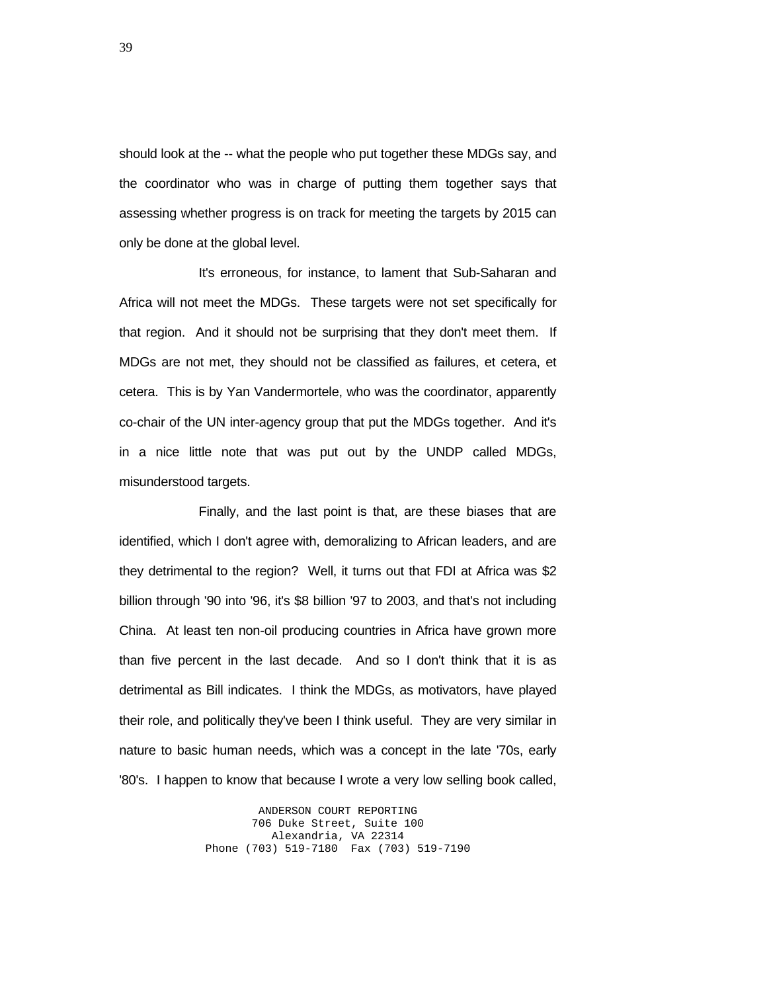should look at the -- what the people who put together these MDGs say, and the coordinator who was in charge of putting them together says that assessing whether progress is on track for meeting the targets by 2015 can only be done at the global level.

 It's erroneous, for instance, to lament that Sub-Saharan and Africa will not meet the MDGs. These targets were not set specifically for that region. And it should not be surprising that they don't meet them. If MDGs are not met, they should not be classified as failures, et cetera, et cetera. This is by Yan Vandermortele, who was the coordinator, apparently co-chair of the UN inter-agency group that put the MDGs together. And it's in a nice little note that was put out by the UNDP called MDGs, misunderstood targets.

 Finally, and the last point is that, are these biases that are identified, which I don't agree with, demoralizing to African leaders, and are they detrimental to the region? Well, it turns out that FDI at Africa was \$2 billion through '90 into '96, it's \$8 billion '97 to 2003, and that's not including China. At least ten non-oil producing countries in Africa have grown more than five percent in the last decade. And so I don't think that it is as detrimental as Bill indicates. I think the MDGs, as motivators, have played their role, and politically they've been I think useful. They are very similar in nature to basic human needs, which was a concept in the late '70s, early '80's. I happen to know that because I wrote a very low selling book called,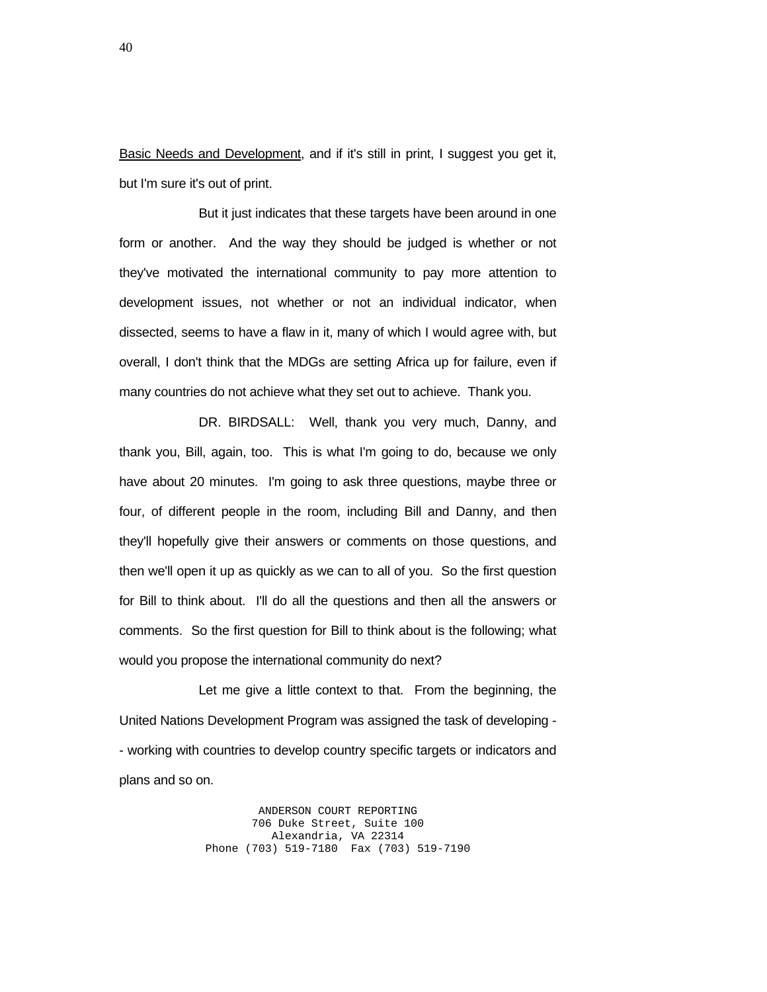Basic Needs and Development, and if it's still in print, I suggest you get it, but I'm sure it's out of print.

 But it just indicates that these targets have been around in one form or another. And the way they should be judged is whether or not they've motivated the international community to pay more attention to development issues, not whether or not an individual indicator, when dissected, seems to have a flaw in it, many of which I would agree with, but overall, I don't think that the MDGs are setting Africa up for failure, even if many countries do not achieve what they set out to achieve. Thank you.

 DR. BIRDSALL: Well, thank you very much, Danny, and thank you, Bill, again, too. This is what I'm going to do, because we only have about 20 minutes. I'm going to ask three questions, maybe three or four, of different people in the room, including Bill and Danny, and then they'll hopefully give their answers or comments on those questions, and then we'll open it up as quickly as we can to all of you. So the first question for Bill to think about. I'll do all the questions and then all the answers or comments. So the first question for Bill to think about is the following; what would you propose the international community do next?

 Let me give a little context to that. From the beginning, the United Nations Development Program was assigned the task of developing - - working with countries to develop country specific targets or indicators and plans and so on.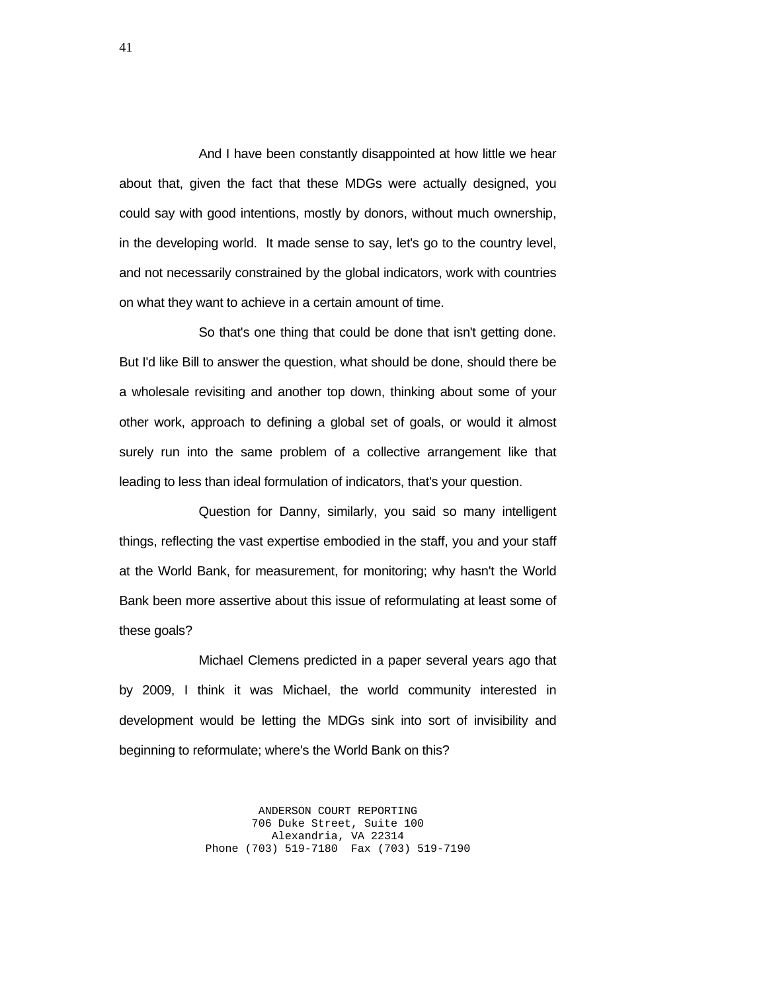And I have been constantly disappointed at how little we hear about that, given the fact that these MDGs were actually designed, you could say with good intentions, mostly by donors, without much ownership, in the developing world. It made sense to say, let's go to the country level, and not necessarily constrained by the global indicators, work with countries on what they want to achieve in a certain amount of time.

 So that's one thing that could be done that isn't getting done. But I'd like Bill to answer the question, what should be done, should there be a wholesale revisiting and another top down, thinking about some of your other work, approach to defining a global set of goals, or would it almost surely run into the same problem of a collective arrangement like that leading to less than ideal formulation of indicators, that's your question.

 Question for Danny, similarly, you said so many intelligent things, reflecting the vast expertise embodied in the staff, you and your staff at the World Bank, for measurement, for monitoring; why hasn't the World Bank been more assertive about this issue of reformulating at least some of these goals?

 Michael Clemens predicted in a paper several years ago that by 2009, I think it was Michael, the world community interested in development would be letting the MDGs sink into sort of invisibility and beginning to reformulate; where's the World Bank on this?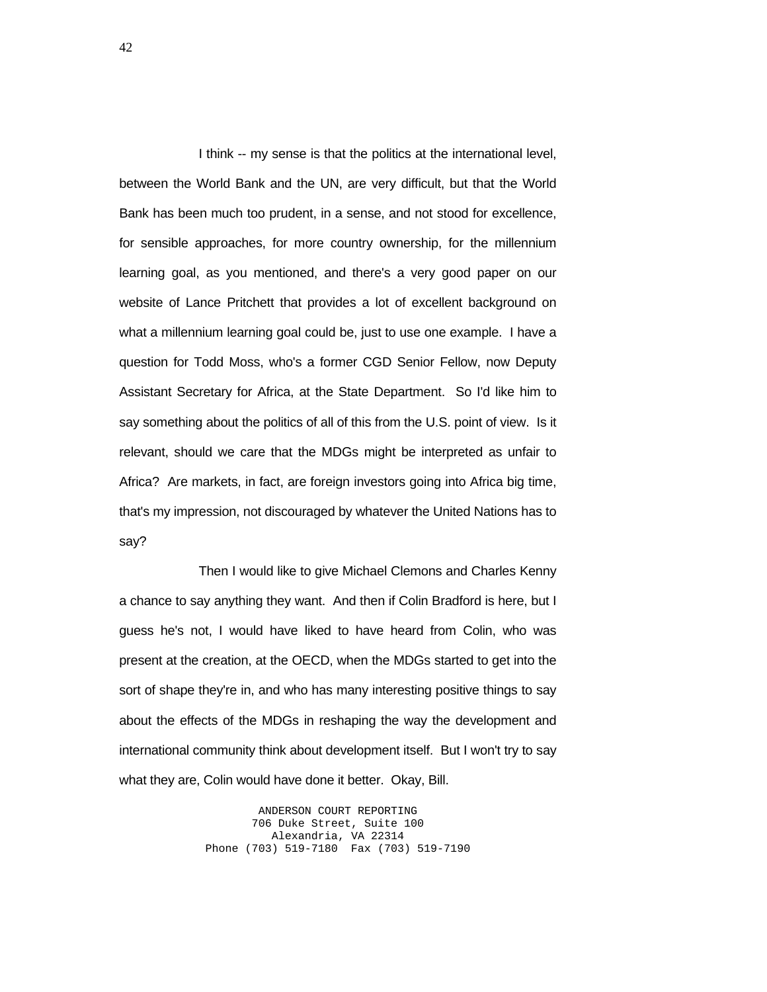I think -- my sense is that the politics at the international level, between the World Bank and the UN, are very difficult, but that the World Bank has been much too prudent, in a sense, and not stood for excellence, for sensible approaches, for more country ownership, for the millennium learning goal, as you mentioned, and there's a very good paper on our website of Lance Pritchett that provides a lot of excellent background on what a millennium learning goal could be, just to use one example. I have a question for Todd Moss, who's a former CGD Senior Fellow, now Deputy Assistant Secretary for Africa, at the State Department. So I'd like him to say something about the politics of all of this from the U.S. point of view. Is it relevant, should we care that the MDGs might be interpreted as unfair to Africa? Are markets, in fact, are foreign investors going into Africa big time, that's my impression, not discouraged by whatever the United Nations has to say?

 Then I would like to give Michael Clemons and Charles Kenny a chance to say anything they want. And then if Colin Bradford is here, but I guess he's not, I would have liked to have heard from Colin, who was present at the creation, at the OECD, when the MDGs started to get into the sort of shape they're in, and who has many interesting positive things to say about the effects of the MDGs in reshaping the way the development and international community think about development itself. But I won't try to say what they are, Colin would have done it better. Okay, Bill.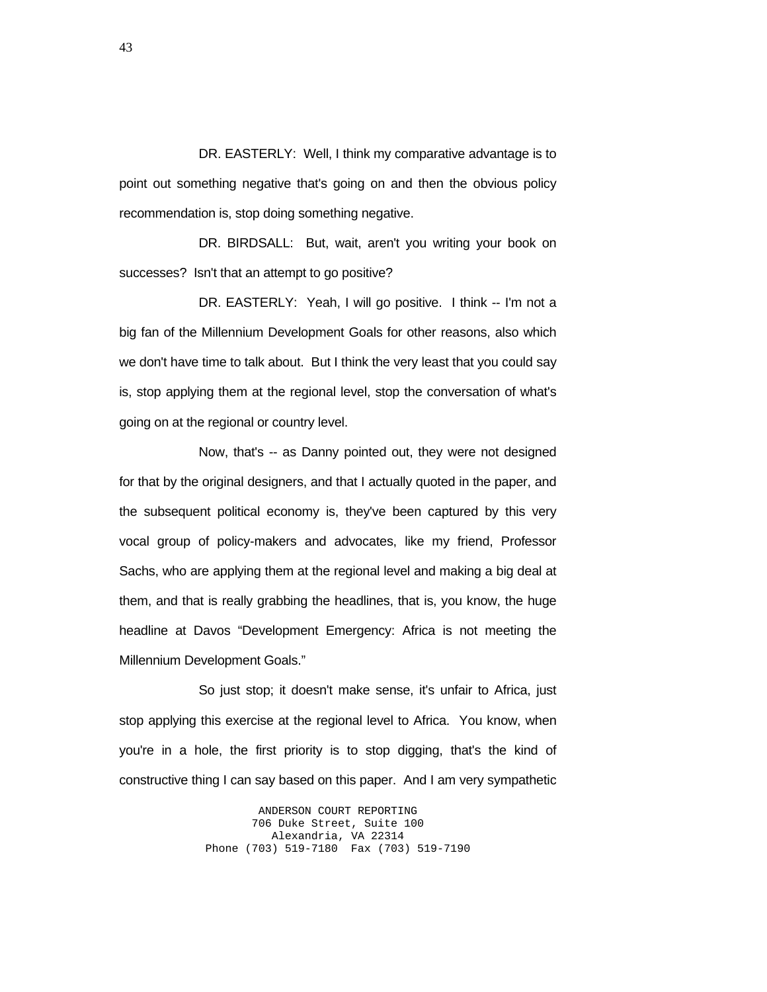DR. EASTERLY: Well, I think my comparative advantage is to point out something negative that's going on and then the obvious policy recommendation is, stop doing something negative.

 DR. BIRDSALL: But, wait, aren't you writing your book on successes? Isn't that an attempt to go positive?

DR. EASTERLY: Yeah, I will go positive. I think -- I'm not a big fan of the Millennium Development Goals for other reasons, also which we don't have time to talk about. But I think the very least that you could say is, stop applying them at the regional level, stop the conversation of what's going on at the regional or country level.

 Now, that's -- as Danny pointed out, they were not designed for that by the original designers, and that I actually quoted in the paper, and the subsequent political economy is, they've been captured by this very vocal group of policy-makers and advocates, like my friend, Professor Sachs, who are applying them at the regional level and making a big deal at them, and that is really grabbing the headlines, that is, you know, the huge headline at Davos "Development Emergency: Africa is not meeting the Millennium Development Goals."

 So just stop; it doesn't make sense, it's unfair to Africa, just stop applying this exercise at the regional level to Africa. You know, when you're in a hole, the first priority is to stop digging, that's the kind of constructive thing I can say based on this paper. And I am very sympathetic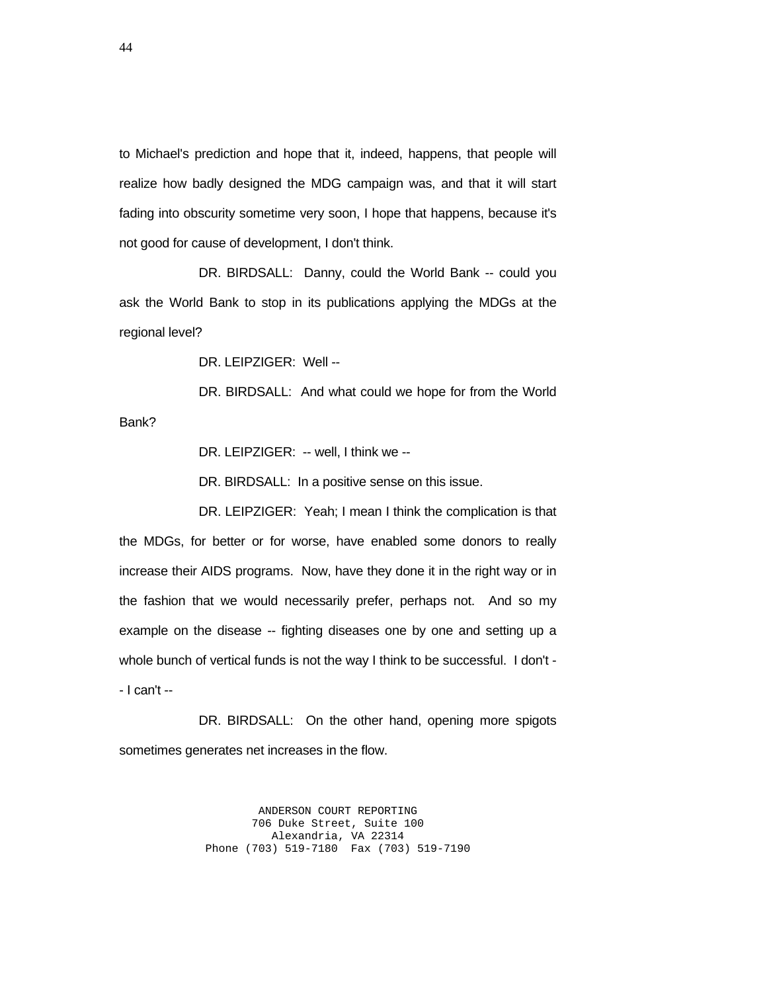to Michael's prediction and hope that it, indeed, happens, that people will realize how badly designed the MDG campaign was, and that it will start fading into obscurity sometime very soon, I hope that happens, because it's not good for cause of development, I don't think.

 DR. BIRDSALL: Danny, could the World Bank -- could you ask the World Bank to stop in its publications applying the MDGs at the regional level?

DR. LEIPZIGER: Well --

DR. BIRDSALL: And what could we hope for from the World

Bank?

DR. LEIPZIGER: -- well, I think we --

DR. BIRDSALL: In a positive sense on this issue.

 DR. LEIPZIGER: Yeah; I mean I think the complication is that the MDGs, for better or for worse, have enabled some donors to really increase their AIDS programs. Now, have they done it in the right way or in the fashion that we would necessarily prefer, perhaps not. And so my example on the disease -- fighting diseases one by one and setting up a whole bunch of vertical funds is not the way I think to be successful. I don't - - I can't --

 DR. BIRDSALL: On the other hand, opening more spigots sometimes generates net increases in the flow.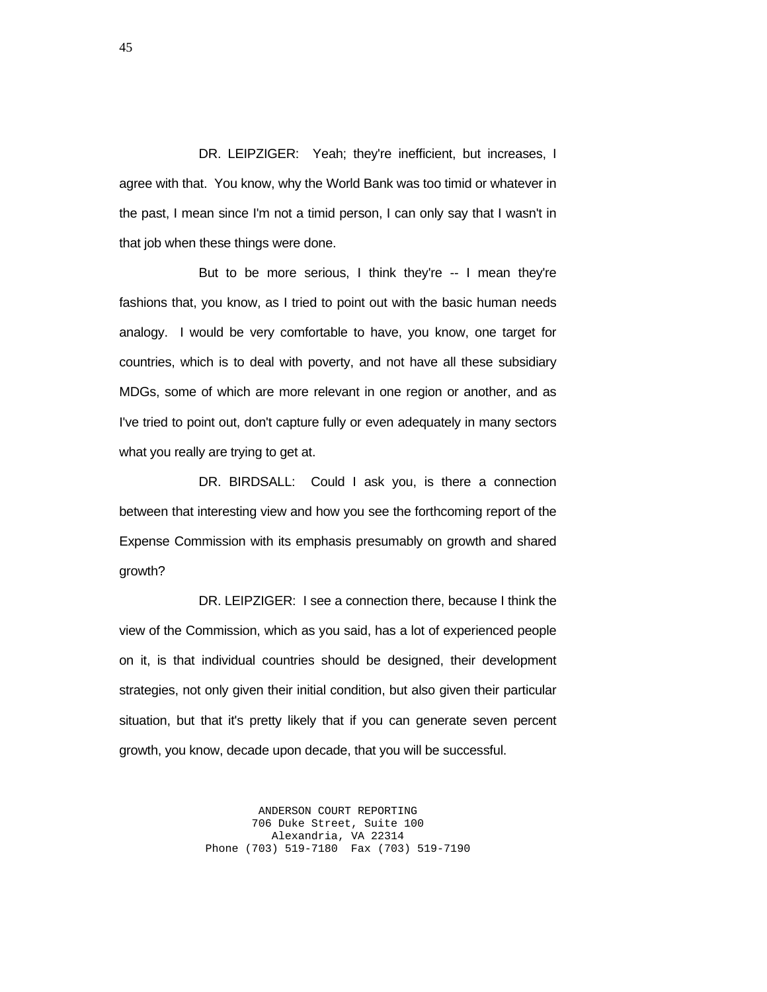DR. LEIPZIGER: Yeah; they're inefficient, but increases, I agree with that. You know, why the World Bank was too timid or whatever in the past, I mean since I'm not a timid person, I can only say that I wasn't in that job when these things were done.

 But to be more serious, I think they're -- I mean they're fashions that, you know, as I tried to point out with the basic human needs analogy. I would be very comfortable to have, you know, one target for countries, which is to deal with poverty, and not have all these subsidiary MDGs, some of which are more relevant in one region or another, and as I've tried to point out, don't capture fully or even adequately in many sectors what you really are trying to get at.

DR. BIRDSALL: Could I ask you, is there a connection between that interesting view and how you see the forthcoming report of the Expense Commission with its emphasis presumably on growth and shared growth?

 DR. LEIPZIGER: I see a connection there, because I think the view of the Commission, which as you said, has a lot of experienced people on it, is that individual countries should be designed, their development strategies, not only given their initial condition, but also given their particular situation, but that it's pretty likely that if you can generate seven percent growth, you know, decade upon decade, that you will be successful.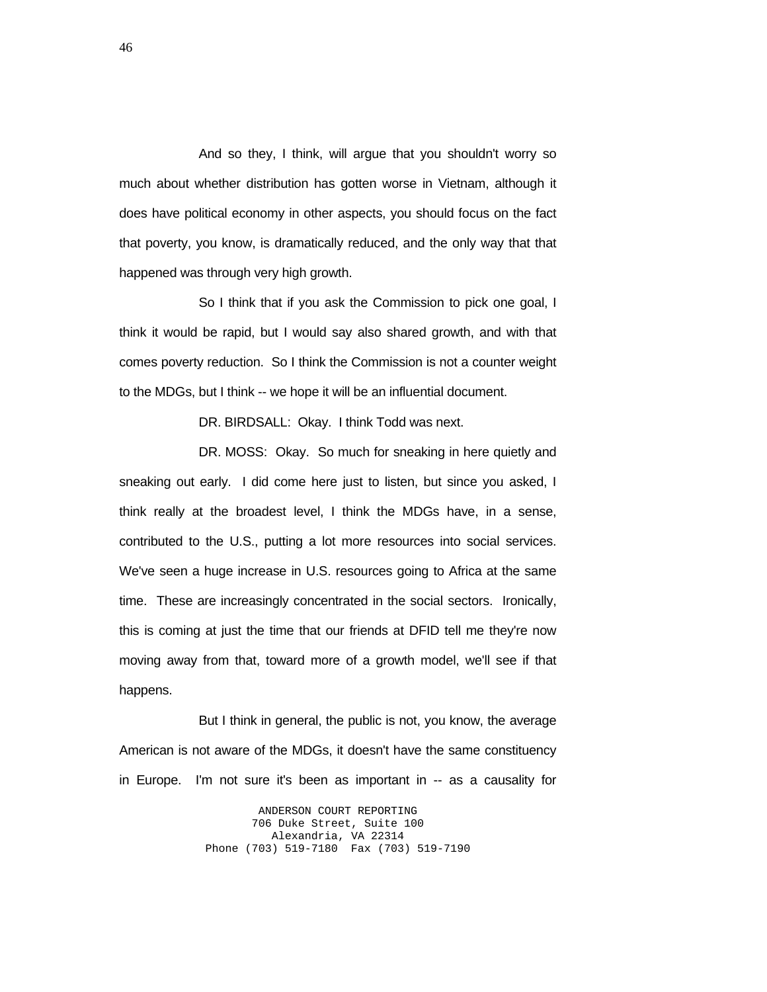And so they, I think, will argue that you shouldn't worry so much about whether distribution has gotten worse in Vietnam, although it does have political economy in other aspects, you should focus on the fact that poverty, you know, is dramatically reduced, and the only way that that happened was through very high growth.

 So I think that if you ask the Commission to pick one goal, I think it would be rapid, but I would say also shared growth, and with that comes poverty reduction. So I think the Commission is not a counter weight to the MDGs, but I think -- we hope it will be an influential document.

DR. BIRDSALL: Okay. I think Todd was next.

DR. MOSS: Okay. So much for sneaking in here quietly and sneaking out early. I did come here just to listen, but since you asked, I think really at the broadest level, I think the MDGs have, in a sense, contributed to the U.S., putting a lot more resources into social services. We've seen a huge increase in U.S. resources going to Africa at the same time. These are increasingly concentrated in the social sectors. Ironically, this is coming at just the time that our friends at DFID tell me they're now moving away from that, toward more of a growth model, we'll see if that happens.

 But I think in general, the public is not, you know, the average American is not aware of the MDGs, it doesn't have the same constituency in Europe. I'm not sure it's been as important in -- as a causality for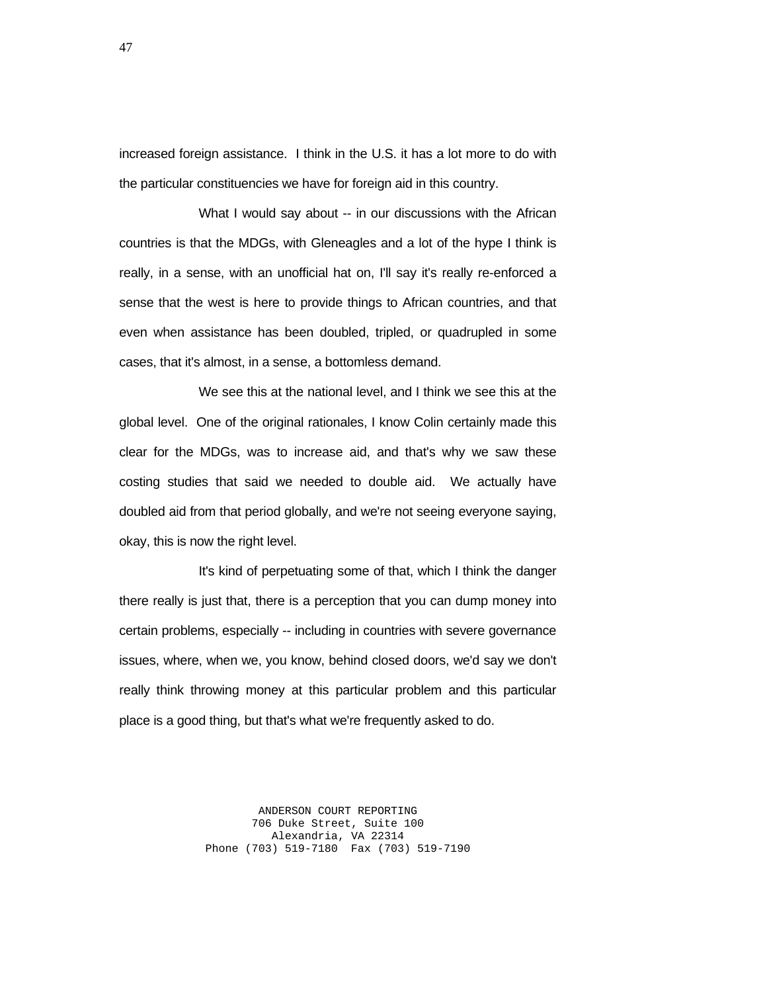increased foreign assistance. I think in the U.S. it has a lot more to do with the particular constituencies we have for foreign aid in this country.

 What I would say about -- in our discussions with the African countries is that the MDGs, with Gleneagles and a lot of the hype I think is really, in a sense, with an unofficial hat on, I'll say it's really re-enforced a sense that the west is here to provide things to African countries, and that even when assistance has been doubled, tripled, or quadrupled in some cases, that it's almost, in a sense, a bottomless demand.

 We see this at the national level, and I think we see this at the global level. One of the original rationales, I know Colin certainly made this clear for the MDGs, was to increase aid, and that's why we saw these costing studies that said we needed to double aid. We actually have doubled aid from that period globally, and we're not seeing everyone saying, okay, this is now the right level.

 It's kind of perpetuating some of that, which I think the danger there really is just that, there is a perception that you can dump money into certain problems, especially -- including in countries with severe governance issues, where, when we, you know, behind closed doors, we'd say we don't really think throwing money at this particular problem and this particular place is a good thing, but that's what we're frequently asked to do.

> ANDERSON COURT REPORTING 706 Duke Street, Suite 100 Alexandria, VA 22314 Phone (703) 519-7180 Fax (703) 519-7190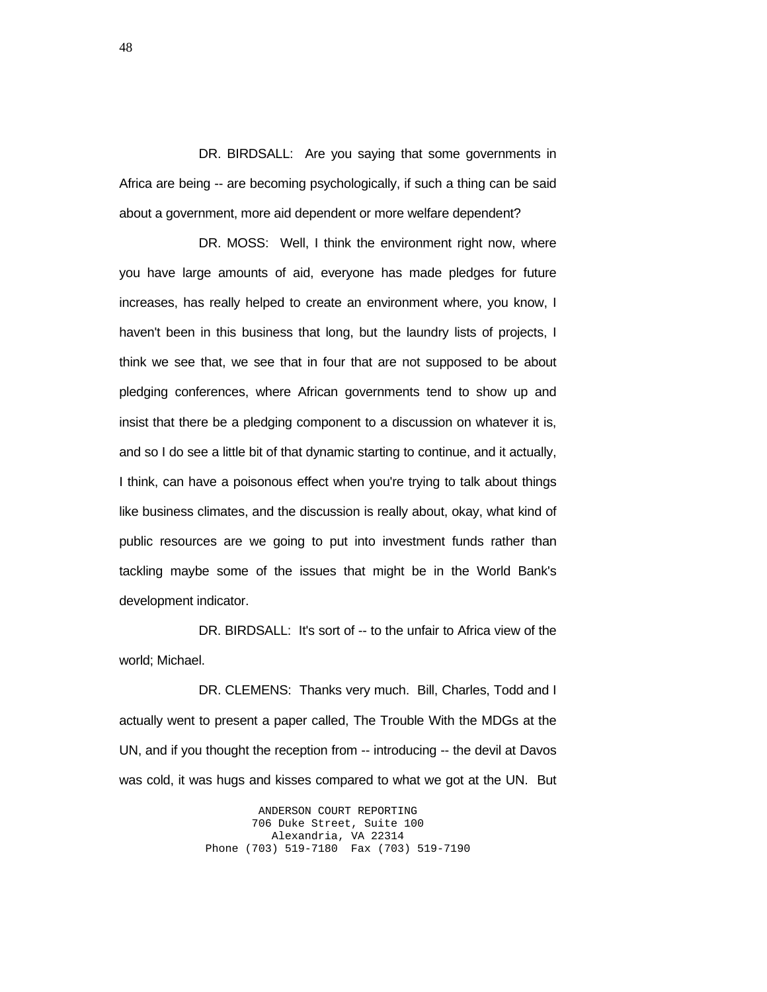DR. BIRDSALL: Are you saying that some governments in Africa are being -- are becoming psychologically, if such a thing can be said about a government, more aid dependent or more welfare dependent?

 DR. MOSS: Well, I think the environment right now, where you have large amounts of aid, everyone has made pledges for future increases, has really helped to create an environment where, you know, I haven't been in this business that long, but the laundry lists of projects, I think we see that, we see that in four that are not supposed to be about pledging conferences, where African governments tend to show up and insist that there be a pledging component to a discussion on whatever it is, and so I do see a little bit of that dynamic starting to continue, and it actually, I think, can have a poisonous effect when you're trying to talk about things like business climates, and the discussion is really about, okay, what kind of public resources are we going to put into investment funds rather than tackling maybe some of the issues that might be in the World Bank's development indicator.

DR. BIRDSALL: It's sort of -- to the unfair to Africa view of the world; Michael.

 DR. CLEMENS: Thanks very much. Bill, Charles, Todd and I actually went to present a paper called, The Trouble With the MDGs at the UN, and if you thought the reception from -- introducing -- the devil at Davos was cold, it was hugs and kisses compared to what we got at the UN. But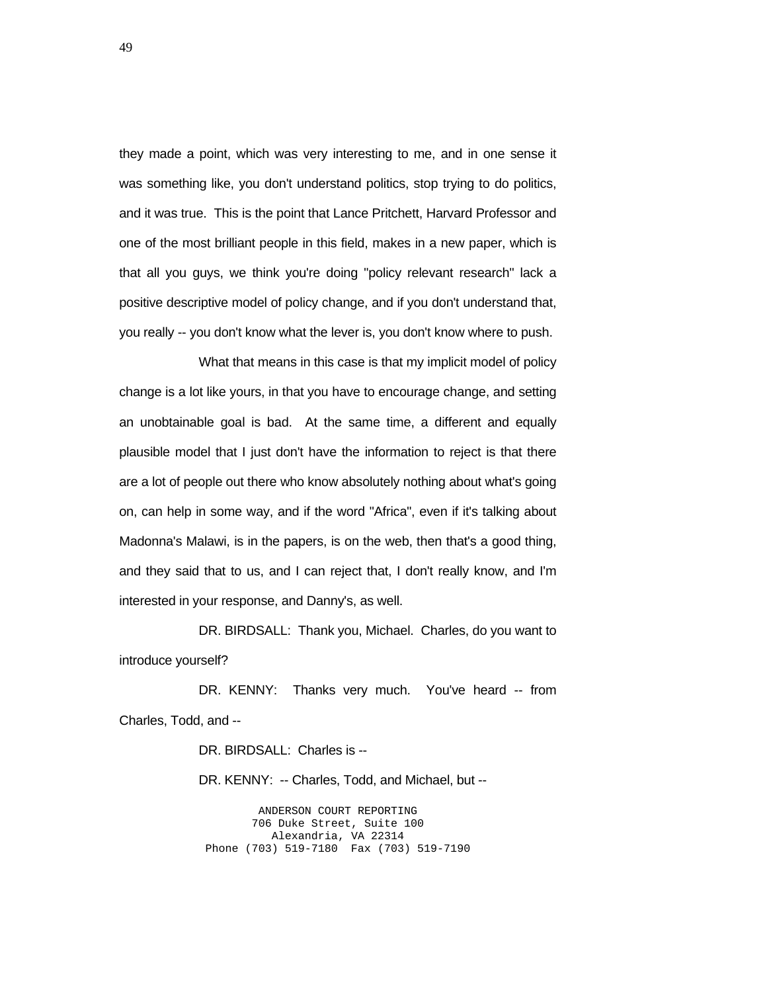they made a point, which was very interesting to me, and in one sense it was something like, you don't understand politics, stop trying to do politics, and it was true. This is the point that Lance Pritchett, Harvard Professor and one of the most brilliant people in this field, makes in a new paper, which is that all you guys, we think you're doing "policy relevant research" lack a positive descriptive model of policy change, and if you don't understand that, you really -- you don't know what the lever is, you don't know where to push.

 What that means in this case is that my implicit model of policy change is a lot like yours, in that you have to encourage change, and setting an unobtainable goal is bad. At the same time, a different and equally plausible model that I just don't have the information to reject is that there are a lot of people out there who know absolutely nothing about what's going on, can help in some way, and if the word "Africa", even if it's talking about Madonna's Malawi, is in the papers, is on the web, then that's a good thing, and they said that to us, and I can reject that, I don't really know, and I'm interested in your response, and Danny's, as well.

 DR. BIRDSALL: Thank you, Michael. Charles, do you want to introduce yourself?

DR. KENNY: Thanks very much. You've heard -- from Charles, Todd, and --

DR. BIRDSALL: Charles is --

DR. KENNY: -- Charles, Todd, and Michael, but --

ANDERSON COURT REPORTING 706 Duke Street, Suite 100 Alexandria, VA 22314 Phone (703) 519-7180 Fax (703) 519-7190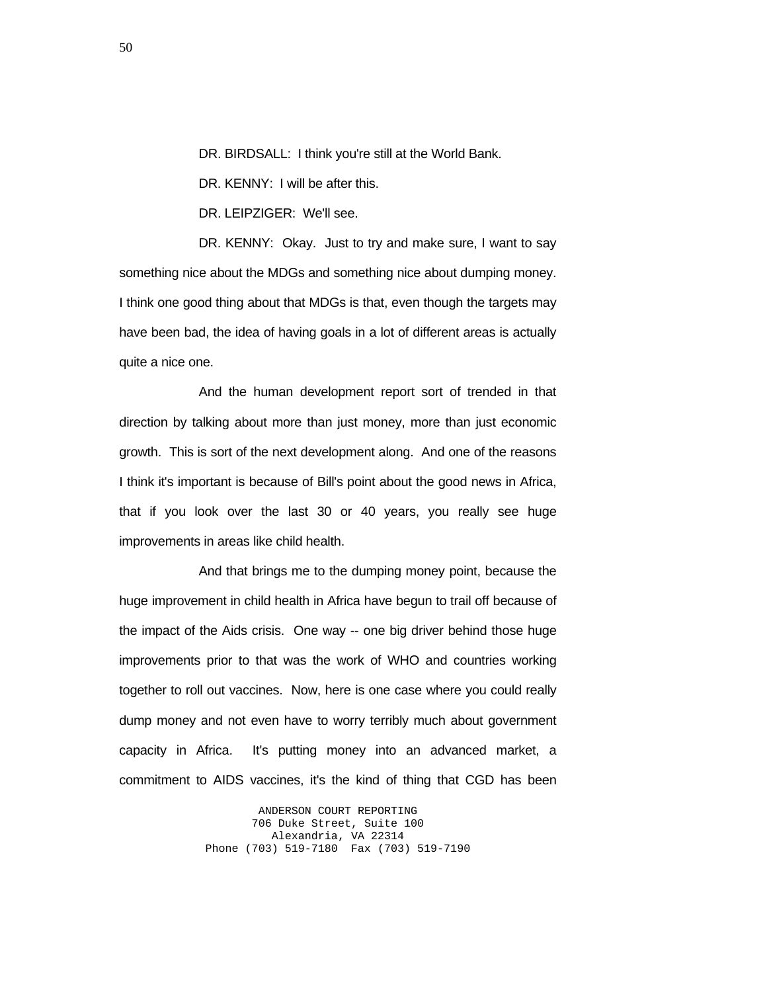DR. BIRDSALL: I think you're still at the World Bank.

DR. KENNY: I will be after this.

DR. LEIPZIGER: We'll see.

DR. KENNY: Okay. Just to try and make sure, I want to say something nice about the MDGs and something nice about dumping money. I think one good thing about that MDGs is that, even though the targets may have been bad, the idea of having goals in a lot of different areas is actually quite a nice one.

 And the human development report sort of trended in that direction by talking about more than just money, more than just economic growth. This is sort of the next development along. And one of the reasons I think it's important is because of Bill's point about the good news in Africa, that if you look over the last 30 or 40 years, you really see huge improvements in areas like child health.

 And that brings me to the dumping money point, because the huge improvement in child health in Africa have begun to trail off because of the impact of the Aids crisis. One way -- one big driver behind those huge improvements prior to that was the work of WHO and countries working together to roll out vaccines. Now, here is one case where you could really dump money and not even have to worry terribly much about government capacity in Africa. It's putting money into an advanced market, a commitment to AIDS vaccines, it's the kind of thing that CGD has been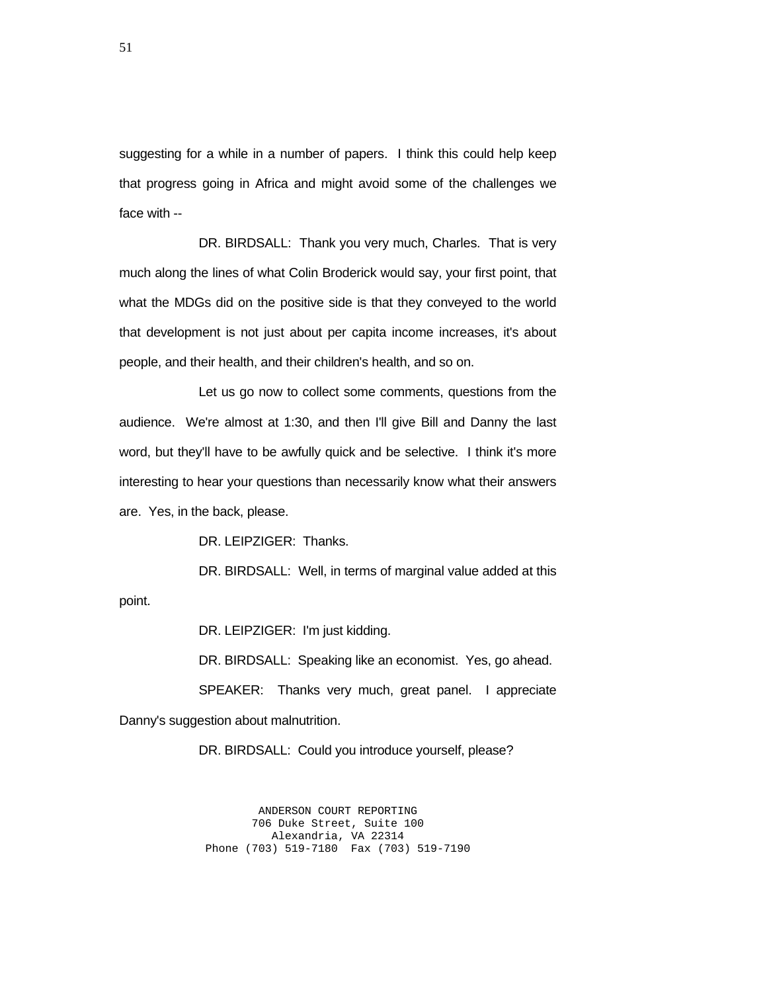suggesting for a while in a number of papers. I think this could help keep that progress going in Africa and might avoid some of the challenges we face with --

 DR. BIRDSALL: Thank you very much, Charles. That is very much along the lines of what Colin Broderick would say, your first point, that what the MDGs did on the positive side is that they conveyed to the world that development is not just about per capita income increases, it's about people, and their health, and their children's health, and so on.

 Let us go now to collect some comments, questions from the audience. We're almost at 1:30, and then I'll give Bill and Danny the last word, but they'll have to be awfully quick and be selective. I think it's more interesting to hear your questions than necessarily know what their answers are. Yes, in the back, please.

DR. LEIPZIGER: Thanks.

 DR. BIRDSALL: Well, in terms of marginal value added at this point.

DR. LEIPZIGER: I'm just kidding.

 DR. BIRDSALL: Speaking like an economist. Yes, go ahead. SPEAKER: Thanks very much, great panel. I appreciate Danny's suggestion about malnutrition.

DR. BIRDSALL: Could you introduce yourself, please?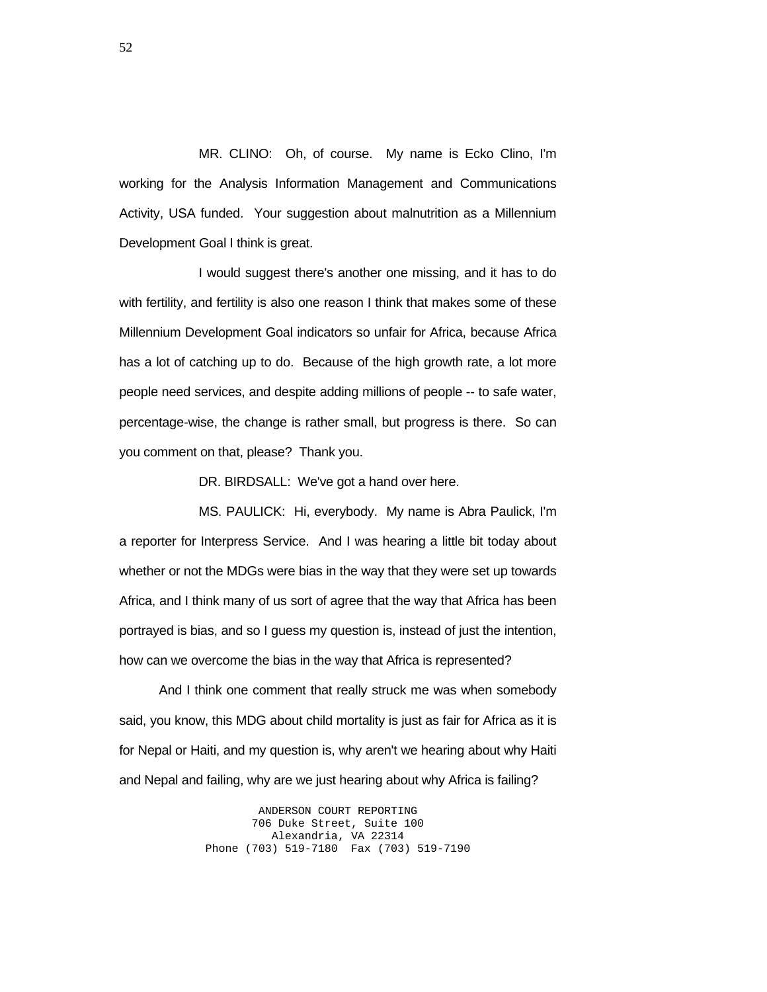MR. CLINO: Oh, of course. My name is Ecko Clino, I'm working for the Analysis Information Management and Communications Activity, USA funded. Your suggestion about malnutrition as a Millennium Development Goal I think is great.

 I would suggest there's another one missing, and it has to do with fertility, and fertility is also one reason I think that makes some of these Millennium Development Goal indicators so unfair for Africa, because Africa has a lot of catching up to do. Because of the high growth rate, a lot more people need services, and despite adding millions of people -- to safe water, percentage-wise, the change is rather small, but progress is there. So can you comment on that, please? Thank you.

DR. BIRDSALL: We've got a hand over here.

 MS. PAULICK: Hi, everybody. My name is Abra Paulick, I'm a reporter for Interpress Service. And I was hearing a little bit today about whether or not the MDGs were bias in the way that they were set up towards Africa, and I think many of us sort of agree that the way that Africa has been portrayed is bias, and so I guess my question is, instead of just the intention, how can we overcome the bias in the way that Africa is represented?

 And I think one comment that really struck me was when somebody said, you know, this MDG about child mortality is just as fair for Africa as it is for Nepal or Haiti, and my question is, why aren't we hearing about why Haiti and Nepal and failing, why are we just hearing about why Africa is failing?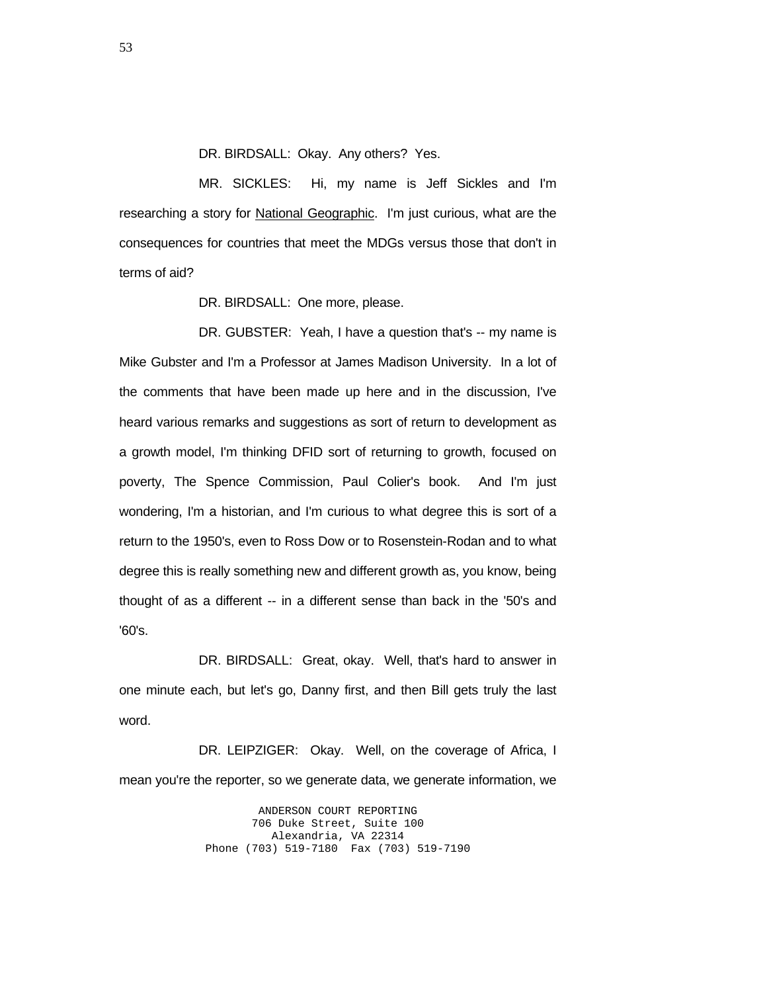DR. BIRDSALL: Okay. Any others? Yes.

 MR. SICKLES: Hi, my name is Jeff Sickles and I'm researching a story for **National Geographic**. I'm just curious, what are the consequences for countries that meet the MDGs versus those that don't in terms of aid?

DR. BIRDSALL: One more, please.

DR. GUBSTER: Yeah, I have a question that's -- my name is Mike Gubster and I'm a Professor at James Madison University. In a lot of the comments that have been made up here and in the discussion, I've heard various remarks and suggestions as sort of return to development as a growth model, I'm thinking DFID sort of returning to growth, focused on poverty, The Spence Commission, Paul Colier's book. And I'm just wondering, I'm a historian, and I'm curious to what degree this is sort of a return to the 1950's, even to Ross Dow or to Rosenstein-Rodan and to what degree this is really something new and different growth as, you know, being thought of as a different -- in a different sense than back in the '50's and '60's.

 DR. BIRDSALL: Great, okay. Well, that's hard to answer in one minute each, but let's go, Danny first, and then Bill gets truly the last word.

 DR. LEIPZIGER: Okay. Well, on the coverage of Africa, I mean you're the reporter, so we generate data, we generate information, we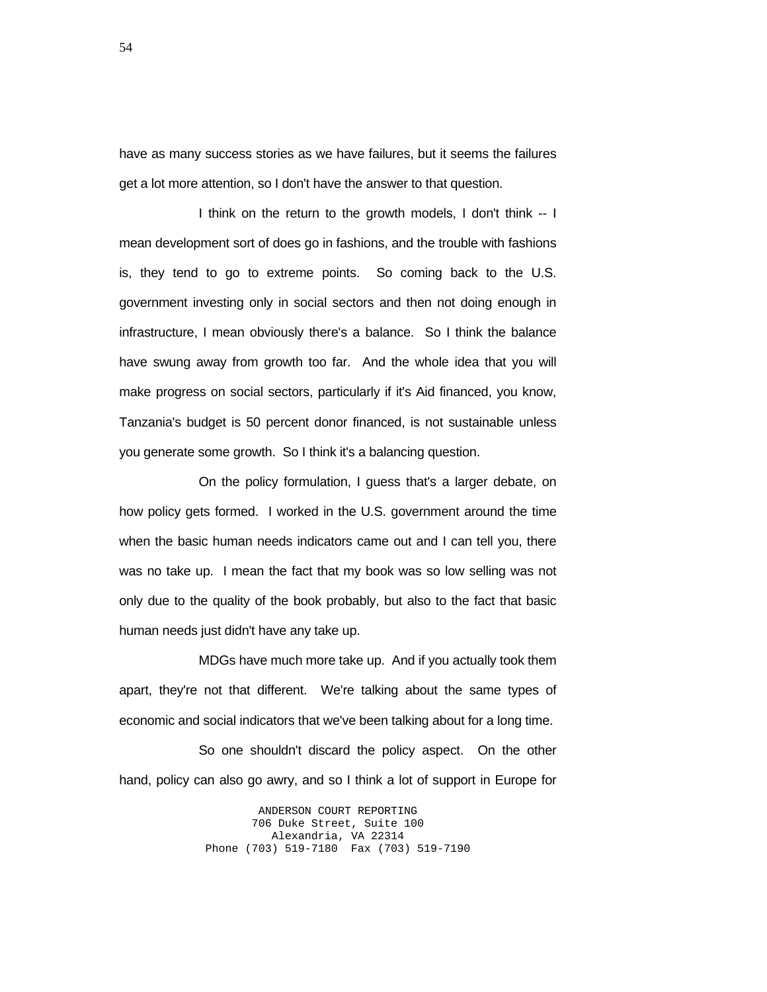have as many success stories as we have failures, but it seems the failures get a lot more attention, so I don't have the answer to that question.

 I think on the return to the growth models, I don't think -- I mean development sort of does go in fashions, and the trouble with fashions is, they tend to go to extreme points. So coming back to the U.S. government investing only in social sectors and then not doing enough in infrastructure, I mean obviously there's a balance. So I think the balance have swung away from growth too far. And the whole idea that you will make progress on social sectors, particularly if it's Aid financed, you know, Tanzania's budget is 50 percent donor financed, is not sustainable unless you generate some growth. So I think it's a balancing question.

 On the policy formulation, I guess that's a larger debate, on how policy gets formed. I worked in the U.S. government around the time when the basic human needs indicators came out and I can tell you, there was no take up. I mean the fact that my book was so low selling was not only due to the quality of the book probably, but also to the fact that basic human needs just didn't have any take up.

 MDGs have much more take up. And if you actually took them apart, they're not that different. We're talking about the same types of economic and social indicators that we've been talking about for a long time.

 So one shouldn't discard the policy aspect. On the other hand, policy can also go awry, and so I think a lot of support in Europe for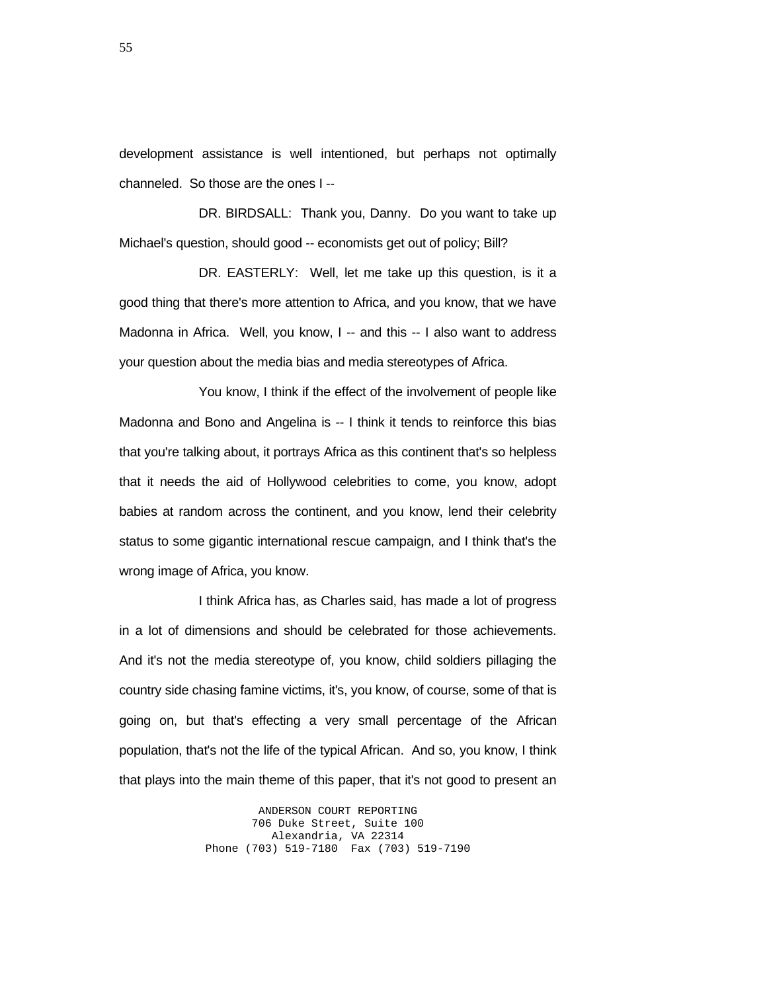development assistance is well intentioned, but perhaps not optimally channeled. So those are the ones I --

 DR. BIRDSALL: Thank you, Danny. Do you want to take up Michael's question, should good -- economists get out of policy; Bill?

 DR. EASTERLY: Well, let me take up this question, is it a good thing that there's more attention to Africa, and you know, that we have Madonna in Africa. Well, you know, I -- and this -- I also want to address your question about the media bias and media stereotypes of Africa.

 You know, I think if the effect of the involvement of people like Madonna and Bono and Angelina is -- I think it tends to reinforce this bias that you're talking about, it portrays Africa as this continent that's so helpless that it needs the aid of Hollywood celebrities to come, you know, adopt babies at random across the continent, and you know, lend their celebrity status to some gigantic international rescue campaign, and I think that's the wrong image of Africa, you know.

 I think Africa has, as Charles said, has made a lot of progress in a lot of dimensions and should be celebrated for those achievements. And it's not the media stereotype of, you know, child soldiers pillaging the country side chasing famine victims, it's, you know, of course, some of that is going on, but that's effecting a very small percentage of the African population, that's not the life of the typical African. And so, you know, I think that plays into the main theme of this paper, that it's not good to present an